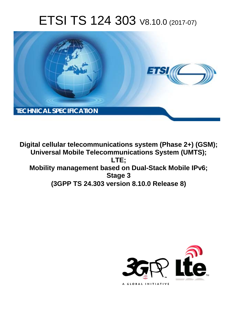# ETSI TS 124 303 V8.10.0 (2017-07)



**Digital cellular telecommunications system (Phase 2+) (GSM); Universal Mobile Telecommunications System (UMTS); LTE; Mobility management based on Dual-Stack Mobile IPv6; Stage 3 (3GPP TS 24.303 version 8.10.0 Release 8)** 

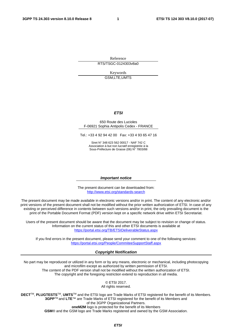Reference RTS/TSGC-0124303v8a0

> Keywords GSM,LTE,UMTS

#### *ETSI*

#### 650 Route des Lucioles F-06921 Sophia Antipolis Cedex - FRANCE

Tel.: +33 4 92 94 42 00 Fax: +33 4 93 65 47 16

Siret N° 348 623 562 00017 - NAF 742 C Association à but non lucratif enregistrée à la Sous-Préfecture de Grasse (06) N° 7803/88

#### *Important notice*

The present document can be downloaded from: <http://www.etsi.org/standards-search>

The present document may be made available in electronic versions and/or in print. The content of any electronic and/or print versions of the present document shall not be modified without the prior written authorization of ETSI. In case of any existing or perceived difference in contents between such versions and/or in print, the only prevailing document is the print of the Portable Document Format (PDF) version kept on a specific network drive within ETSI Secretariat.

Users of the present document should be aware that the document may be subject to revision or change of status. Information on the current status of this and other ETSI documents is available at <https://portal.etsi.org/TB/ETSIDeliverableStatus.aspx>

If you find errors in the present document, please send your comment to one of the following services: <https://portal.etsi.org/People/CommiteeSupportStaff.aspx>

#### *Copyright Notification*

No part may be reproduced or utilized in any form or by any means, electronic or mechanical, including photocopying and microfilm except as authorized by written permission of ETSI. The content of the PDF version shall not be modified without the written authorization of ETSI. The copyright and the foregoing restriction extend to reproduction in all media.

© ETSI 2017.

All rights reserved.

**DECT**TM, **PLUGTESTS**TM, **UMTS**TM and the ETSI logo are Trade Marks of ETSI registered for the benefit of its Members. **3GPP**TM and **LTE**™ are Trade Marks of ETSI registered for the benefit of its Members and of the 3GPP Organizational Partners.

**oneM2M** logo is protected for the benefit of its Members

**GSM**® and the GSM logo are Trade Marks registered and owned by the GSM Association.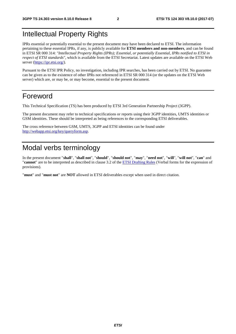### Intellectual Property Rights

IPRs essential or potentially essential to the present document may have been declared to ETSI. The information pertaining to these essential IPRs, if any, is publicly available for **ETSI members and non-members**, and can be found in ETSI SR 000 314: *"Intellectual Property Rights (IPRs); Essential, or potentially Essential, IPRs notified to ETSI in respect of ETSI standards"*, which is available from the ETSI Secretariat. Latest updates are available on the ETSI Web server ([https://ipr.etsi.org/\)](https://ipr.etsi.org/).

Pursuant to the ETSI IPR Policy, no investigation, including IPR searches, has been carried out by ETSI. No guarantee can be given as to the existence of other IPRs not referenced in ETSI SR 000 314 (or the updates on the ETSI Web server) which are, or may be, or may become, essential to the present document.

### Foreword

This Technical Specification (TS) has been produced by ETSI 3rd Generation Partnership Project (3GPP).

The present document may refer to technical specifications or reports using their 3GPP identities, UMTS identities or GSM identities. These should be interpreted as being references to the corresponding ETSI deliverables.

The cross reference between GSM, UMTS, 3GPP and ETSI identities can be found under [http://webapp.etsi.org/key/queryform.asp.](http://webapp.etsi.org/key/queryform.asp)

### Modal verbs terminology

In the present document "**shall**", "**shall not**", "**should**", "**should not**", "**may**", "**need not**", "**will**", "**will not**", "**can**" and "**cannot**" are to be interpreted as described in clause 3.2 of the [ETSI Drafting Rules](https://portal.etsi.org/Services/editHelp!/Howtostart/ETSIDraftingRules.aspx) (Verbal forms for the expression of provisions).

"**must**" and "**must not**" are **NOT** allowed in ETSI deliverables except when used in direct citation.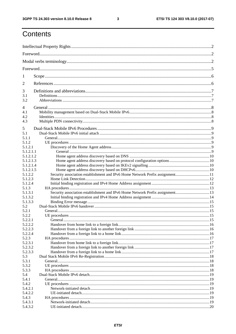#### $\mathbf{3}$

## Contents

| 1                    |                                                                              |  |
|----------------------|------------------------------------------------------------------------------|--|
| 2                    |                                                                              |  |
| 3                    |                                                                              |  |
| 3.1<br>3.2           |                                                                              |  |
| 4                    |                                                                              |  |
| 4.1                  |                                                                              |  |
| 4.2<br>4.3           |                                                                              |  |
| 5                    |                                                                              |  |
| 5.1                  |                                                                              |  |
| 5.1.1                |                                                                              |  |
| 5.1.2                |                                                                              |  |
| 5.1.2.1<br>5.1.2.1.1 |                                                                              |  |
| 5.1.2.1.2            |                                                                              |  |
| 5.1.2.1.3            |                                                                              |  |
| 5.1.2.1.4            |                                                                              |  |
| 5.1.2.1.5            |                                                                              |  |
| 5.1.2.2              | Security association establishment and IPv6 Home Network Prefix assignment11 |  |
| 5.1.2.3              |                                                                              |  |
| 5.1.2.4              |                                                                              |  |
| 5.1.3                |                                                                              |  |
| 5.1.3.1              |                                                                              |  |
| 5.1.3.2              |                                                                              |  |
| 5.1.3.3              |                                                                              |  |
| 5.2<br>5.2.1         |                                                                              |  |
| 5.2.2                |                                                                              |  |
| 5.2.2.1              | General                                                                      |  |
| 5.2.2.2              |                                                                              |  |
| 5.2.2.3              |                                                                              |  |
| 5.2.2.4              |                                                                              |  |
| 5.2.3                |                                                                              |  |
| 5.2.3.1              |                                                                              |  |
| 5.2.3.2              |                                                                              |  |
| 5.2.3.3              |                                                                              |  |
| 5.3                  |                                                                              |  |
| 5.3.1                |                                                                              |  |
| 5.3.2<br>5.3.3       |                                                                              |  |
| 5.4                  |                                                                              |  |
| 5.4.1                |                                                                              |  |
| 5.4.2                |                                                                              |  |
| 5.4.2.1              |                                                                              |  |
| 5.4.2.2              |                                                                              |  |
| 5.4.3                |                                                                              |  |
| 5.4.3.1              |                                                                              |  |
| 5.4.3.2              |                                                                              |  |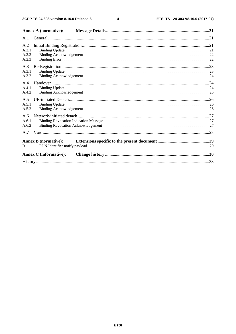$\overline{\mathbf{4}}$ 

|                                | <b>Annex A (normative):</b>   |  |
|--------------------------------|-------------------------------|--|
| A.1                            |                               |  |
| A.2<br>A.2.1<br>A.2.2<br>A.2.3 |                               |  |
| A.3<br>A.3.1<br>A.3.2          |                               |  |
| A.4<br>A.4.1<br>A.4.2          |                               |  |
| A.5<br>A.5.1<br>A.5.2          |                               |  |
| A.6<br>A.6.1<br>A.6.2          |                               |  |
| A.7                            |                               |  |
| B.1                            | <b>Annex B</b> (normative):   |  |
|                                | <b>Annex C</b> (informative): |  |
|                                |                               |  |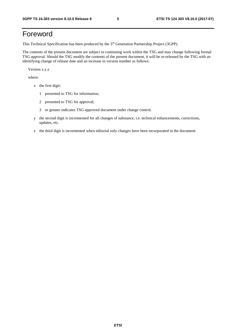### Foreword

This Technical Specification has been produced by the 3rd Generation Partnership Project (3GPP).

The contents of the present document are subject to continuing work within the TSG and may change following formal TSG approval. Should the TSG modify the contents of the present document, it will be re-released by the TSG with an identifying change of release date and an increase in version number as follows:

Version x.y.z

where:

- x the first digit:
	- 1 presented to TSG for information;
	- 2 presented to TSG for approval;
	- 3 or greater indicates TSG approved document under change control.
- y the second digit is incremented for all changes of substance, i.e. technical enhancements, corrections, updates, etc.
- z the third digit is incremented when editorial only changes have been incorporated in the document.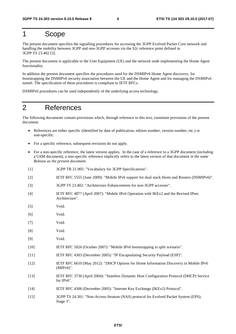### 1 Scope

The present document specifies the signalling procedures for accessing the 3GPP Evolved Packet Core network and handling the mobility between 3GPP and non-3GPP accesses via the S2c reference point defined in 3GPP TS 23.402 [3].

The present document is applicable to the User Equipment (UE) and the network node implementing the Home Agent functionality.

In addition the present document specifies the procedures used for the DSMIPv6 Home Agent discovery, for bootstrapping the DSMIPv6 security association between the UE and the Home Agent and for managing the DSMIPv6 tunnel. The specification of these procedures is compliant to IETF RFCs.

DSMIPv6 procedures can be used independently of the underlying access technology.

### 2 References

The following documents contain provisions which, through reference in this text, constitute provisions of the present document.

- References are either specific (identified by date of publication, edition number, version number, etc.) or non-specific.
- For a specific reference, subsequent revisions do not apply.
- For a non-specific reference, the latest version applies. In the case of a reference to a 3GPP document (including a GSM document), a non-specific reference implicitly refers to the latest version of that document *in the same Release as the present document*.
- [1] 3GPP TR 21.905: "Vocabulary for 3GPP Specifications".
- [2] IETF RFC 5555 (June 2009): "Mobile IPv6 support for dual stack Hosts and Routers (DSMIPv6)".
- [3] 3GPP TS 23.402: "Architecture Enhancements for non-3GPP accesses".
- [4] IETF RFC 4877 (April 2007): "Mobile IPv6 Operation with IKEv2 and the Revised IPsec Architecture".
- [5] Void.
- [6] Void.
- [7] Void.
- [8] Void.
- [9] Void.
- [10] IETF RFC 5026 (October 2007): "Mobile IPv6 bootstrapping in split scenario".
- [11] IETF RFC 4303 (December 2005): "IP Encapsulating Security Payload (ESP)".
- [12] IETF RFC 6610 (May 2012): "DHCP Options for Home Information Discovery in Mobile IPv6 (MIPv6)".
- [13] IETF RFC 3736 (April 2004): "Stateless Dynamic Host Configuration Protocol (DHCP) Service for IPv6".
- [14] IETF RFC 4306 (December 2005): "Internet Key Exchange (IKEv2) Protocol".
- [15] 3GPP TS 24.301: "Non-Access-Stratum (NAS) protocol for Evolved Packet System (EPS); Stage 3".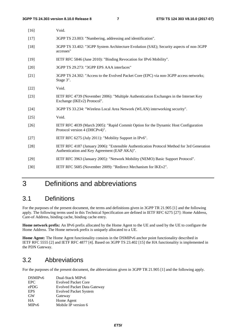| $[16]$ | Void.                                                                                                                                       |
|--------|---------------------------------------------------------------------------------------------------------------------------------------------|
| $[17]$ | 3GPP TS 23.003: "Numbering, addressing and identification".                                                                                 |
| $[18]$ | 3GPP TS 33.402: "3GPP System Architecture Evolution (SAE); Security aspects of non-3GPP<br>accesses"                                        |
| $[19]$ | IETF RFC 5846 (June 2010): "Binding Revocation for IPv6 Mobility".                                                                          |
| $[20]$ | 3GPP TS 29.273: "3GPP EPS AAA interfaces"                                                                                                   |
| $[21]$ | 3GPP TS 24.302: "Access to the Evolved Packet Core (EPC) via non-3GPP access networks;<br>Stage 3".                                         |
| $[22]$ | Void.                                                                                                                                       |
| $[23]$ | IETF RFC 4739 (November 2006): "Multiple Authentication Exchanges in the Internet Key<br>Exchange (IKEv2) Protocol".                        |
| $[24]$ | 3GPP TS 33.234: "Wireless Local Area Network (WLAN) interworking security".                                                                 |
| [25]   | Void.                                                                                                                                       |
| $[26]$ | IETF RFC 4039 (March 2005): "Rapid Commit Option for the Dynamic Host Configuration<br>Protocol version 4 (DHCPv4)".                        |
| $[27]$ | IETF RFC 6275 (July 2011): "Mobility Support in IPv6".                                                                                      |
| $[28]$ | IETF RFC 4187 (January 2006): "Extensible Authentication Protocol Method for 3rd Generation<br>Authentication and Key Agreement (EAP AKA)". |
| $[29]$ | IETF RFC 3963 (January 2005): "Network Mobility (NEMO) Basic Support Protocol".                                                             |
| $[30]$ | IETF RFC 5685 (November 2009): "Redirect Mechanism for IKEv2".                                                                              |

### 3 Definitions and abbreviations

### 3.1 Definitions

For the purposes of the present document, the terms and definitions given in 3GPP TR 21.905 [1] and the following apply. The following terms used in this Technical Specification are defined in IETF RFC 6275 [27]: Home Address, Care-of Address, binding cache, binding cache entry.

**Home network prefix:** An IPv6 prefix allocated by the Home Agent to the UE and used by the UE to configure the Home Address. The Home network prefix is uniquely allocated to a UE.

**Home Agent:** The Home Agent functionality consists in the DSMIPv6 anchor point functionality described in IETF RFC 5555 [2] and IETF RFC 4877 [4]. Based on 3GPP TS 23.402 [15] the HA functionality is implemented in the PDN Gateway.

### 3.2 Abbreviations

For the purposes of the present document, the abbreviations given in 3GPP TR 21.905 [1] and the following apply.

| DSMIP <sub>v6</sub> | Dual-Stack MIP <sub>v</sub> 6      |
|---------------------|------------------------------------|
| <b>EPC</b>          | <b>Evolved Packet Core</b>         |
| ePDG                | <b>Evolved Packet Data Gateway</b> |
| <b>EPS</b>          | <b>Evolved Packet System</b>       |
| <b>GW</b>           | Gateway                            |
| HA                  | Home Agent                         |
| MIP <sub>v</sub> 6  | Mobile IP version 6                |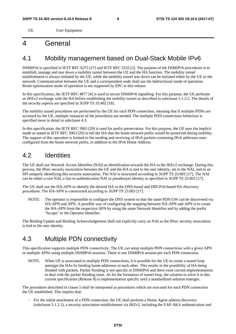UE User Equipment

### 4 General

### 4.1 Mobility management based on Dual-Stack Mobile IPv6

DSMIPv6 is specified in IETF RFC 6275 [27] and IETF RFC 5555 [2]. The purpose of the DSMIPv6 procedures is to establish, manage and tear down a mobility tunnel between the UE and the HA function. The mobility tunnel establishment is always initiated by the UE, while the mobility tunnel tear down can be initiated either by the UE or the network. Communication between the UE and a correspondent node shall use the bidirectional mode of operation. Route optimization mode of operation is not supported by EPC in this release.

In this specification, the IETF RFC 4877 [4] is used to secure DSMIPv6 signalling. For this purpose, the UE performs an IKEv2 exchange with the HA before establishing the mobility tunnel as described in subclause 5.1.2.2. The details of the security aspects are specified in 3GPP TS 33.402 [18].

The mobility tunnel procedures are performed by the UE for each PDN connection, meaning that if multiple PDNs are accessed by the UE, multiple instances of the procedures are needed. The multiple PDN connections behaviour is specified more in detail in subclause 4.3.

In this specification, the IETF RFC 3963 [29] is used for prefix preservation. For this purpose, the UE uses the implicit mode as stated in IETF RFC 3963 [29] to tell the HA that the home network prefix would be preserved during mobility. The support of this operation is limited to the sending and receiving of IPv6 packets containing IPv6 addresses autoconfigured from the home network prefix, in addition to the IPv6 Home Address.

### 4.2 Identities

The UE shall use Network Access Identifier (NAI) as identification towards the HA in the IKEv2 exchange. During this process, the IPsec security association between the UE and the HA is tied to the user identity, set to the NAI, and to an SPI uniquely identifying this security association. The NAI is structured according to 3GPP TS 23.003 [17]. The NAI can be either a root NAI, a fast re-authentication NAI or pseudonym identity as specified in 3GPP TS 23.003 [17].

The UE shall use the HA-APN to identify the desired HA in the DNS-based and DHCPv6-based HA discovery procedures. The HA-APN is constructed according to 3GPP TS 23.003 [17].

NOTE: The operator is responsible to configure the DNS system so that the same PDN GW can be discovered via HA-APN and APN. A possible way of configuring the mapping between HA-APN and APN is to create the HA-APN from the respective APN by using the same Network Identifier and by adding the prefix "ha-apn" to the Operator Identifier.

The Binding Update and Binding Acknowledgement shall not explicitly carry an NAI as the IPsec security association is tied to the user identity.

### 4.3 Multiple PDN connectivity

This specification supports multiple PDN connectivity. The UE can setup multiple PDN connections with a given APN or multiple APNs using multiple DSMIPv6 sessions. There is one DSMIPv6 session per each PDN connection.

NOTE: When UE is associated to multiple PDN connections, it is possible for the UE to create a tunnel loop amongst the HAs by binding home addresses to each other. This results in the possibility of HA being flooded with packets. Packet flooding is not specific to DSMIPv6 and there exist current implementations to deal with the packet flooding issue. As for the formation of tunnel loop, the solution to solve it in this current specification (Release 8) is implementation specific until a standardized solution emerges.

The procedures described in clause 5 shall be interpreted as procedures which are executed for each PDN connection the UE established. This implies that:

- For the initial attachment of a PDN connection, the UE shall perform a Home Agent address discovery (subclause 5.1.2.1), a security association establishment via IKEv2, including the EAP-AKA authentication and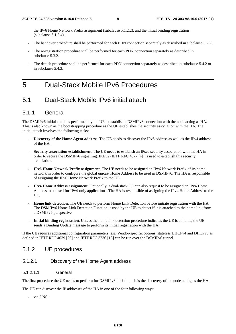the IPv6 Home Network Prefix assignment (subclause 5.1.2.2), and the initial binding registration (subclause 5.1.2.4).

- The handover procedure shall be performed for each PDN connection separately as described in subclause 5.2.2.
- The re-registration procedure shall be performed for each PDN connection separately as described in subclause 5.3.2.
- The detach procedure shall be performed for each PDN connection separately as described in subclause 5.4.2 or in subclause 5.4.3.

### 5 Dual-Stack Mobile IPv6 Procedures

### 5.1 Dual-Stack Mobile IPv6 initial attach

### 5.1.1 General

The DSMIPv6 initial attach is performed by the UE to establish a DSMIPv6 connection with the node acting as HA. This is also known as the bootstrapping procedure as the UE establishes the security association with the HA. The initial attach involves the following tasks:

- **Discovery of the Home Agent address**. The UE needs to discover the IPv6 address as well as the IPv4 address of the HA.
- **Security association establishment**. The UE needs to establish an IPsec security association with the HA in order to secure the DSMIPv6 signalling. IKEv2 (IETF RFC 4877 [4]) is used to establish this security association.
- **IPv6 Home Network Prefix assignment**. The UE needs to be assigned an IPv6 Network Prefix of its home network in order to configure the global unicast Home Address to be used in DSMIPv6. The HA is responsible of assigning the IPv6 Home Network Prefix to the UE.
- **IPv4 Home Address assignment**. Optionally, a dual-stack UE can also request to be assigned an IPv4 Home Address to be used for IPv4-only applications. The HA is responsible of assigning the IPv4 Home Address to the UE.
- **Home link detection**. The UE needs to perform Home Link Detection before initiate registration with the HA. The DSMIPv6 Home Link Detection Function is used by the UE to detect if it is attached to the home link from a DSMIPv6 perspective.
- **Initial binding registration**. Unless the home link detection procedure indicates the UE is at home, the UE sends a Binding Update message to perform its initial registration with the HA.

If the UE requires additional configuration parameters, e.g. Vendor-specific options, stateless DHCPv4 and DHCPv6 as defined in IETF RFC 4039 [26] and IETF RFC 3736 [13] can be run over the DSMIPv6 tunnel.

### 5.1.2 UE procedures

#### 5.1.2.1 Discovery of the Home Agent address

#### 5.1.2.1.1 General

The first procedure the UE needs to perform for DSMIPv6 initial attach is the discovery of the node acting as the HA.

The UE can discover the IP addresses of the HA in one of the four following ways:

via DNS;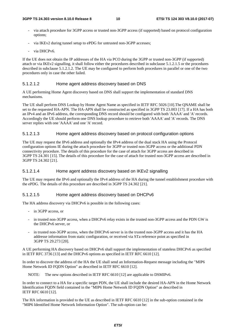- via attach procedure for 3GPP access or trusted non-3GPP access (if supported) based on protocol configuration options;
- via IKEv2 during tunnel setup to ePDG for untrusted non-3GPP accesses;
- via DHCPv6.

If the UE does not obtain the IP addresses of the HA via PCO during the 3GPP or trusted non-3GPP (if supported) attach or via IKEv2 signalling, it shall follow either the procedures described in subclause 5.1.2.1.5 or the procedures described in subclause 5.1.2.1.2. The UE may be configured to perform both procedures in parallel or one of the two procedures only in case the other failed.

#### 5.1.2.1.2 Home agent address discovery based on DNS

A UE performing Home Agent discovery based on DNS shall support the implementation of standard DNS mechanisms.

The UE shall perform DNS Lookup by Home Agent Name as specified in IETF RFC 5026 [10].The QNAME shall be set to the requested HA-APN. The HA-APN shall be constructed as specified in 3GPP TS 23.003 [17]. If a HA has both an IPv4 and an IPv6 address, the corresponding DNS record should be configured with both 'AAAA' and 'A' records. Accordingly the UE should perform one DNS lookup procedure to retrieve both 'AAAA' and 'A' records. The DNS server replies with one 'AAAA' and one 'A' record.

#### 5.1.2.1.3 Home agent address discovery based on protocol configuration options

The UE may request the IPv6 address and optionally the IPv4 address of the dual stack HA using the Protocol configuration options IE during the attach procedure for 3GPP or trusted non-3GPP access or the additional PDN connectivity procedure. The details of this procedure for the case of attach for 3GPP access are described in 3GPP TS 24.301 [15]. The details of this procedure for the case of attach for trusted non-3GPP access are described in 3GPP TS 24.302 [21].

#### 5.1.2.1.4 Home agent address discovery based on IKEv2 signalling

The UE may request the IPv6 and optionally the IPv4 address of the HA during the tunnel establishment procedure with the ePDG. The details of this procedure are described in 3GPP TS 24.302 [21].

#### 5.1.2.1.5 Home agent address discovery based on DHCPv6

The HA address discovery via DHCPv6 is possible in the following cases:

- in 3GPP access, or
- in trusted non-3GPP access, when a DHCPv6 relay exists in the trusted non-3GPP access and the PDN GW is the DHCPv6 server, or
- in trusted non-3GPP access, when the DHCPv6 server is in the trusted non-3GPP access and it has the HA addresse information from static configuration, or received via STa reference point as specified in 3GPP TS 29.273 [20].

A UE performing HA discovery based on DHCPv6 shall support the implementation of stateless DHCPv6 as specified in IETF RFC 3736 [13] and the DHCPv6 options as specified in IETF RFC 6610 [12].

In order to discover the address of the HA the UE shall send an Information-Request message including the "MIP6 Home Network ID FQDN Option" as described in IETF RFC 6610 [12].

NOTE: The new options described in IETF RFC 6610 [12] are applicable to DSMIPv6.

In order to connect to a HA for a specific target PDN, the UE shall include the desired HA-APN in the Home Network Identification FQDN field contained in the "MIP6 Home Network ID FQDN Option" as described in IETF RFC 6610 [12].

The HA information is provided to the UE as described in IETF RFC 6610 [12] in the sub-option contained in the "MIP6 Identified Home Network Information Option". The sub-option can be: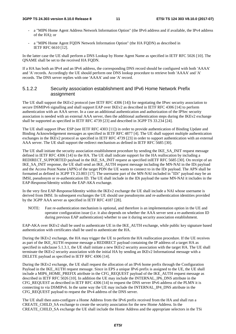#### **3GPP TS 24.303 version 8.10.0 Release 8 11 ETSI TS 124 303 V8.10.0 (2017-07)**

- a "MIP6 Home Agent Address Network Information Option" (the IPv6 address and if available, the IPv4 address of the HA); or
- a "MIP6 Home Agent FQDN Network Information Option" (the HA FQDN) as described in IETF RFC 6610 [12].

In the latter case the UE shall perform a DNS Lookup by Home Agent Name as specified in IETF RFC 5026 [10]. The QNAME shall be set to the received HA FQDN.

If a HA has both an IPv4 and an IPv6 address, the corresponding DNS record should be configured with both 'AAAA' and 'A' records. Accordingly the UE should perform one DNS lookup procedure to retrieve both 'AAAA' and 'A' records. The DNS server replies with one 'AAAA' and one 'A' record.

### 5.1.2.2 Security association establishment and IPv6 Home Network Prefix assignment

The UE shall support the IKEv2 protocol (see IETF RFC 4306 [14]) for negotiating the IPsec security association to secure DSMIPv6 signalling and shall support EAP over IKEv2 as described in IETF RFC 4306 [14] to perform authentication with an AAA server. In a case an additional authentication and authorization of the IPSec security association is needed with an external AAA server, then the additional authentication steps during the IKEv2 exchange shall be supported as specified in IETF RFC 4739 [23] and described in 3GPP TS 33.234 [24].

The UE shall support IPsec ESP (see IETF RFC 4303 [11]) in order to provide authentication of Binding Update and Binding Acknowledgement messages as specified in IETF RFC 4877 [4]. The UE shall support multiple authentication exchanges in the IKEv2 protocol as specified in IETF RFC 4739 [23] in order to support authentication with an external AAA server. The UE shall support the redirect mechanism as defined in IETF RFC 5685 [30].

The UE shall initiate the security association establishment procedure by sending the IKE\_SA\_INIT request message defined in IETF RFC 4306 [14] to the HA. The UE shall indicate support for the HA reallocation by including a REDIRECT\_SUPPORTED payload in the IKE\_SA\_INIT request as specified inIETF RFC 5685 [30]. On receipt of an IKE\_SA\_INIT response, the UE shall send an IKE\_AUTH request message including the MN-NAI in the IDi payload and the Access Point Name (APN) of the target PDN the UE wants to connect to in the IDr payload. The APN shall be formatted as defined in 3GPP TS 23.003 [17]. The username part of the MN-NAI included in "IDi" payload may be an IMSI, pseudonym or re-authentication ID. The UE shall include in the IDi payload the same MN-NAI it includes in the EAP-Response/Identity within the EAP-AKA exchange.

In the very first EAP-Response/Identity within the IKEv2 exchange the UE shall include a NAI whose username is derived from IMSI. In subsequent exchanges the UE should use pseudonyms and re-authentication identities provided by the 3GPP AAA server as specified in IETF RFC 4187 [28].

NOTE: Fast re-authentication mechanism is optional, and therefore is an implementation option in the UE and operator configuration issue (i.e. it also depends on whether the AAA server sent a re-authentication ID during previous EAP authentication) whether to use it during security association establishment.

EAP-AKA over IKEv2 shall be used to authenticate UE in the IKE\_AUTH exchange, while public key signature based authentication with certificates shall be used to authenticate the HA.

During the IKEv2 exchange, the HA may trigger the UE to perform the HA reallocation procedure. If the UE receives as part of the IKE\_AUTH response message a REDIRECT payload containing the IP address of a target HA as specified in subclause 5.1.3.1, the UE shall initiate a new IKEv2 security association with the target HA. The UE shall terminate the IKEv2 security association with the initial HA by sending an IKEv2 Informational message with a DELETE payload as specified in IETF RFC 4306 [14].

During the IKEv2 exchange, the UE shall request the allocation of an IPv6 home prefix through the Configuration Payload in the IKE\_AUTH request message. Since in EPS a unique IPv6 prefix is assigned to the UE, the UE shall include a MIP6\_HOME\_PREFIX attribute in the CFG\_REQUEST payload of the IKE\_AUTH request message as described in IETF RFC 5026 [10]. In addition the UE may include the INTERNAL\_IP6\_DNS attribute in the CFG\_REQUEST as described in IETF RFC 4306 [14] to request the DNS server IPv6 address of the PLMN it is connecting to via DSMIPv6. In the same way the UE may include the INTERNAL\_IP4\_DNS attribute in the CFG\_REQUEST payload to request the IPv4 address of the DNS server.

The UE shall then auto-configure a Home Address from the IPv6 prefix received from the HA and shall run a CREATE\_CHILD\_SA exchange to create the security association for the new Home Address. In the CREATE\_CHILD\_SA exchange the UE shall include the Home Address and the appropriate selectors in the TSi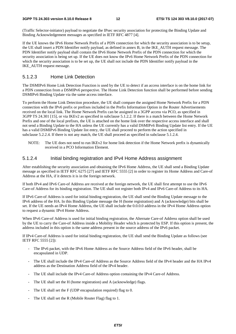(Traffic Selector-initiator) payload to negotiate the IPsec security association for protecting the Binding Update and Binding Acknowledgement messages as specified in IETF RFC 4877 [4].

If the UE knows the IPv6 Home Network Prefix of a PDN connection for which the security association is to be setup, the UE shall insert a PDN Identifier notify payload, as defined in annex B, in the IKE\_AUTH request message. The PDN Identifier notify payload shall contain the IPv6 Home Network Prefix of the PDN connection for which the security association is being set up. If the UE does not know the IPv6 Home Network Prefix of the PDN connection for which the security association is to be set up, the UE shall not include the PDN Identifier notify payload in the IKE\_AUTH request message.

### 5.1.2.3 Home Link Detection

The DSMIPv6 Home Link Detection Function is used by the UE to detect if an access interface is on the home link for a PDN connection from a DSMIPv6 perspective. The Home Link Detection function shall be performed before sending DSMIPv6 Binding Update via the same access interface.

To perform the Home Link Detection procedure, the UE shall compare the assigned Home Network Prefix for a PDN connection with the IPv6 prefix or prefixes included in the Prefix Information Option in the Router Advertisements received on the local link. The Home Network Prefix can be assigned in a 3GPP access via PCO, as specified in 3GPP TS 24.301 [15], or via IKEv2 as specified in subclause 5.1.2.2. If there is a match between the Home Network Prefix and one of the local prefixes, the UE is attached on the home link over the respective access interface and shall not send a Binding Update to the HA unless the UE currently has a valid DSMIPv6 Binding Update list entry. If the UE has a valid DSMIPv6 Binding Update list entry, the UE shall proceed to perform the action specified in subclause 5.2.2.4. If there is not any match, the UE shall proceed as specified in subclause 5.1.2.4.

NOTE: The UE does not need to run IKEv2 for home link detection if the Home Network prefix is dynamically received in a PCO Information Element.

### 5.1.2.4 Initial binding registration and IPv4 Home Address assignment

After establishing the security association and obtaining the IPv6 Home Address, the UE shall send a Binding Update message as specified in IETF RFC 6275 [27] and IETF RFC 5555 [2] in order to register its Home Address and Care-of Address at the HA, if it detects it is in the foreign network.

If both IPv4 and IPv6 Care-of Address are received at the foreign network, the UE shall first attempt to use the IPv6 Care-of Address for its binding registration. The UE shall not register both IPv4 and IPv6 Care-of Address to its HA.

If IPv6 Care-of Address is used for initial binding registration, the UE shall send the Binding Update message to the IPv6 address of the HA. In this Binding Update message the H (home registration) and A (acknowledge) bits shall be set. If the UE needs an IPv4 Home Address, the UE shall include the 0.0.0.0 address in the IPv4 Home Address option to request a dynamic IPv4 Home Address.

When IPv6 Care-of Address is used for initial binding registration, the Alternate Care-of Address option shall be used by the UE to carry the Care-of Address inside a Mobility Header which is protected by ESP. If this option is present, the address included in this option is the same address present in the source address of the IPv6 packet.

If IPv4 Care-of Address is used for initial binding registration, the UE shall send the Binding Update as follows (see IETF RFC 5555 [2]):

- The IPv6 packet, with the IPv6 Home Address as the Source Address field of the IPv6 header, shall be encapsulated in UDP.
- The UE shall include the IPv4 Care-of Address as the Source Address field of the IPv4 header and the HA IPv4 address as the Destination Address field of the IPv4 header.
- The UE shall include the IPv4 Care-of Address option containing the IPv4 Care-of Address.
- The UE shall set the H (home registration) and A (acknowledge) flags.
- The UE shall set the F (UDP encapsulation required) flag to 0.
- The UE shall set the R (Mobile Router Flag) flag to 1.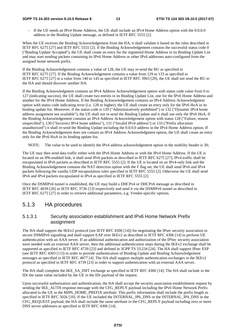#### **3GPP TS 24.303 version 8.10.0 Release 8 13 ETSI TS 124 303 V8.10.0 (2017-07)**

If the UE needs an IPv4 Home Address, the UE shall include an IPv4 Home Address option with the 0.0.0.0 address in the Binding Update message, as defined in IETF RFC 5555 [2].

When the UE receives the Binding Acknowledgement from the HA, it shall validate it based on the rules described in IETF RFC 6275 [27] and IETF RFC 5555 [2]. If the Binding Acknowledgement contains the successful status code 0 ("Binding Update Accepted"), the UE shall create an entry for the registered Home Address in its Binding Update List and may start sending packets containing its IPv6 Home Address or other IPv6 addresses auto-configured from the assigned home network prefix.

If the Binding Acknowledgement contains a value of 128, the UE may re-send the BU as specified in IETF RFC 6275 [27]. If the Binding Acknowledgement contains a value from 129 to 133 as specified in IETF RFC 6275 [27] or a value from 140 to 143 as specified in IETF RFC 3963 [29], the UE shall not send the BU to the HA and should discover another HA.

If the Binding Acknowledgment contains an IPv4 Address Acknowledgement option with status code value from 0 to 127 (indicating success), the UE shall create two entries in its Binding Update List, one for the IPv6 Home Address and another for the IPv4 Home Address. If the Binding Acknowledgement contains an IPv4 Address Acknowledgment option with status code indicating error (i.e. 128 or higher), the UE shall create an entry only for the IPv6 HoA in its binding update list. Moreover, if the status code is 129 ("Administratively prohibited") or 132 ("Dynamic IPv4 home address assignment not available"), the UE shall not re-send the Binding Update and it shall use only the IPv6 HoA. If the Binding Acknowledgement contains an IPv4 Address Acknowledgement option with status 128 ("Failure, reason unspecified"), 130 ("Incorrect IPv4 home address"), 131 ("Invalid IPv4 address") or 133 ("Prefix allocation unauthorized") it shall re-send the Binding Update including the 0.0.0.0 address in the IPv4 Home Address option. If the Binding Acknowledgement does not contain an IPv4 Address Acknowledgment option, the UE shall create an entry only for the IPv6 HoA in its binding update list.

NOTE: The value to be used to identify the IPv4 address acknowledgement option in the mobility header is 30;

The UE may then send data traffic either with the IPv6 Home Address or with the IPv4 Home Address. If the UE is located on an IP6-enabled link, it shall send IPv6 packets as described in IETF RFC 6275 [27]; IPv4 traffic shall be encapsulated in IPv6 packets as described in IETF RFC 5555 [2]. If the UE is located on an IPv4-only link and the Binding Acknowledgement contains the NAT detection option with the F flag set, the UE shall send IPv6 and IPv4 packets following the vanilla UDP encapsulation rules specified in IETF RFC 5555 [2]. Otherwise the UE shall send IPv6 and IPv4 packets encapsulated in IPv4 as specified in IETF RFC 5555 [2].

Once the DSMIPv6 tunnel is established, the UE may build a DHCPv4 or DHCPv6 message as described in IETF RFC 4039 [26] or IETF RFC 3736 [13] respectively and send it via the DSMIPv6 tunnel as described in IETF RFC 6275 [27] in order to retrieve additional parameters, e.g. Vendor-specific options.

### 5.1.3 HA procedures

#### 5.1.3.1 Security association establishment and IPv6 Home Network Prefix assignment

The HA shall support the IKEv2 protocol (see IETF RFC 4306 [14]) for negotiating the IPsec security association to secure DSMIPv6 signalling and shall support EAP over IKEv2 as described in IETF RFC 4306 [14] to perform UE authentication with an AAA server. If an additional authentication and authorization of the IPSec security association were needed with an external AAA server, then the additional authentication steps during the IKEv2 exchange shall be supported as specified in IETF RFC 4739 [23] and defined in 3GPP TS 33.234 [24]. The HA shall support IPsec ESP (see IETF RFC 4303 [11]) in order to provide authentication of Binding Update and Binding Acknowledgement messages as specified in IETF RFC 4877 [4]. The HA shall support multiple authentication exchanges in the IKEv2 protocol as specified in IETF RFC 4739 [23] in order to support authentication with an external AAA server.

The HA shall complete the IKE\_SA\_INIT exchange as specified in IETF RFC 4306 [14]. The HA shall include in the IDr the same value included by the UE in the IDr payload of the request.

Upon successful authorization and authentication, the HA shall accept the security association establishment request by sending the IKE\_AUTH response message with the CFG\_REPLY payload including the IPv6 Home Network Prefix allocated to the UE in the MIP6\_HOME\_PREFIX attribute. This prefix information shall include the prefix length as specified in IETF RFC 5026 [10]. If the UE included the INTERNAL\_IP6\_DNS or the INTERNAL\_IP4\_DNS in the CFG\_REQUEST payload, the HA shall include the same attribute in the CFG\_REPLY payload including zero or more DNS server addresses as specified in IETF RFC 4306 [14].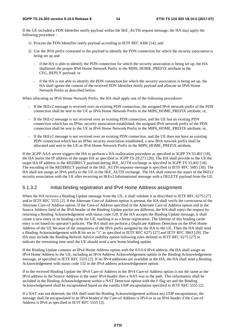If the UE included a PDN Identifier notify payload within the IKE\_AUTH request message, the HA may apply the following procedure :

- 1) Process the PDN Identifier notify payload according to IETF RFC 4306 [14]; and
- 2) Use the IPv6 prefix contained in the payload to identify the PDN connection for which the security association is being set up and
	- if the HA is able to identify the PDN connection for which the security association is being set up, the HA shallinsert the proper IPv6 Home Network Prefix in the MIP6\_HOME\_PREFIX attribute in the CFG\_REPLY payload; or
	- if the HA is not able to identify the PDN connection for which the security association is being set up, the HA shall ignore the content of the received PDN Identifier notify payload and allocate an IPv6 Home Network Prefix as described below.

When allocating an IPv6 Home Network Prefix, the HA shall apply one of the following procedures:

- If the IKEv2 message is received over an existing PDN connection, the assigned IPv6 network prefix of the PDN connection shall be sent to the UE as IPv6 Home Network Prefix in the MIP6\_HOME\_PREFIX attribute; or,
- If the IKEv2 message is not received over an existing PDN connection, and the UE has an existing PDN connection which has no IPSec security association established, the assigned IPv6 network prefix of the PDN connection shall be sent to the UE as IPv6 Home Network Prefix in the MIP6\_HOME\_PREFIX attribute; or,
- If the IKEv2 message is not received over an existing PDN connection, and the UE does not have an existing PDN connection which has no IPSec security association established, a new IPv6 network prefix shall be allocated and sent to the UE as IPv6 Home Network Prefix in the MIP6\_HOME\_PREFIX attribute.

If the 3GPP AAA server triggers the HA to perform a HA reallocation procedure as specified in 3GPP TS 33.402 [18], the HA learns the IP address of the target HA as specified in 3GPP TS 29.273 [20]. The HA shall provide to the UE the target HA IP address in the REDIRECT payload during IKE\_AUTH exchange as specified in 3GPP TS 33.402 [18]. The encoding of the REDIRECT payload in the IKE\_AUTH response message is specified in IETF RFC 5685 [30]. The HA shall not assign an IPv6 prefix to the UE in the IKE\_AUTH exchange. The HA shall remove the states of the IKEv2 security association with the UE after receiving an IKEv2 Informational message with a DELETE payload from the UE.

### 5.1.3.2 Initial binding registration and IPv4 Home Address assignment

When the HA receives a Binding Update message from the UE, it shall validate it as described in IETF RFC 6275 [27] and in IETF RFC 5555 [2]. If the Alternate Care-of Address option is present, the HA shall verify the correctness of the Alternate Care-of Address option. If the Care-of Address specified in the Alternate Care-of Address option and in the Source Address field of the IPv6 header of the Binding Update packet are different, the HA shall reject the request by returning a Binding Acknowledgement with status code 128. If the HA accepts the Binding Update message, it shall create a new entry in its binding cache for UE, marking it as a home registration. The lifetime of this binding cache entry is set based on operator's policies. The HA shall not perform a Duplicate Address Detection on the IPv6 Home Address of the UE because of the uniqueness of the IPv6 prefix assigned by the HA to the UE. Then the HA shall send a Binding Acknowledgement with R bit set to "1" as specified in IETF RFC 6275 [27] and IETF RFC 3963 [29]. The HA may include the Binding Refresh Advice mobility option following rules defined in IETF RFC 6275 [27] to indicate the remaining time until the UE should send a new home binding update.

If the Binding Update contains an IPv4 Home Address option with the 0.0.0.0 IPv4 address, the HA shall assign an IPv4 Home Address to the UE, including an IPv4 Address Acknowledgement option in the Binding Acknowledgement message, as specified in IETF RFC 5555 [2]. If no IPv4 addresses are available at the HA, the HA shall send a Binding Acknowledgement with status code 132 in the IPv4 address acknowledgement option.

If in the received Binding Update the IPv4 Care-of Address in the IPv4 Care-of Address option is not the same as the IPv4 address in the Source Address in the outer IPv4 header then a NAT was in the path. This information shall be included in the Binding Acknowledgement within a NAT Detection option with the F flag set and the Binding Acknowledgement shall be encapsulated based on the vanilla UDP encapsulation specified in IETF RFC 5555 [2].

If a NAT was not detected, the HA shall send the Binding Acknowledgement without any UDP encapsulation; the message shall be encapsulated in an IPv4 header if the Care-of Address is IPv4 or in an IPv6 header if the Care-of Address is IPv6 as specified in IETF RFC 5555 [2].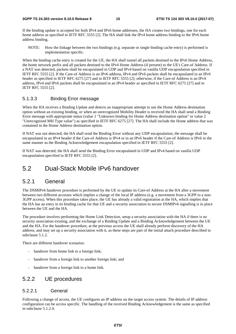If the binding update is accepted for both IPv4 and IPv6 home addresses, the HA creates two bindings, one for each home address as specified in IETF RFC 5555 [2]. The HA shall link the IPv4 home address binding to the IPv6 home address binding.

NOTE: How the linkage between the two bindings (e.g. separate or single binding cache entry) is performed is implementation specific.

When the binding cache entry is created for the UE, the HA shall tunnel all packets destined to the IPv6 Home Address, the home network prefix and all packets destined to the IPv4 Home Address (if present) to the UE's Care-of Address. If a NAT was detected, packets shall be encapsulated in UDP and IPv4 based on vanilla UDP encapsulation specified in IETF RFC 5555 [2]. If the Care-of Address is an IPv6 address, IPv4 and IPv6 packets shall be encapsulated in an IPv6 header as specified in IETF RFC 6275 [27] and in IETF RFC 5555 [2]; otherwise, if the Care-of Address is an IPv4 address, IPv4 and IPv6 packets shall be encapsulated in an IPv4 header as specified in IETF RFC 6275 [27] and in IETF RFC 5555 [2].

#### 5.1.3.3 Binding Error message

When the HA receives a Binding Update and detects an inappropriate attempt to use the Home Address destination option without an existing binding, or when an unrecognized Mobility Header is received the HA shall send a Binding Error message with appropriate status (value 1 "Unknown binding for Home Address destination option" or value 2 "Unrecognized MH Type value") as specified in IETF RFC 6275 [27]. The HA shall include the Home address that was contained in the Home Address destination option.

If NAT was not detected, the HA shall send the Binding Error without any UDP encapsulation; the message shall be encapsulated in an IPv4 header if the Care-of Address is IPv4 or in an IPv6 header if the Care-of Address is IPv6 in the same manner as the Binding Acknowledgement encapsulation specified in IETF RFC 5555 [2].

If NAT was detected, the HA shall send the Binding Error encapsulated in UDP and IPv4 based on vanilla UDP encapsulation specified in IETF RFC 5555 [2].

### 5.2 Dual-Stack Mobile IPv6 handover

### 5.2.1 General

The DSMIPv6 handover procedure is performed by the UE to update its Care-of Address at the HA after a movement between two different accesses which implies a change of the local IP address (e.g. a movement from a 3GPP to a non-3GPP access). When this procedure takes place, the UE has already a valid registration at the HA, which implies that the HA has an entry in its binding cache for that UE and a security association to secure DSMIPv6 signalling is in place between the UE and the HA.

The procedure involves performing the Home Link Detection, setup a security association with the HA if there is no security association existing, and the exchange of a Binding Update and a Binding Acknowledgement between the UE and the HA. For the handover procedure, at the previous access the UE shall already perform discovery of the HA address, and may set up a security association with it, as these steps are part of the initial attach procedure described in subclause 5.1.2.

There are different handover scenarios:

- handover from home link to a foreign link;
- handover from a foreign link to another foreign link; and
- handover from a foreign link to a home link.

### 5.2.2 UE procedures

#### 5.2.2.1 General

Following a change of access, the UE configures an IP address on the target access system. The details of IP address configuration can be access specific. The handling of the received Binding Acknowledgement is the same as specified in subclause 5.1.2.4.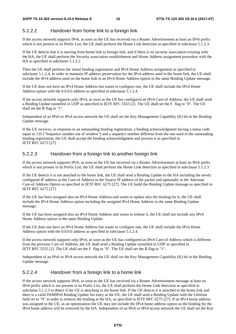### 5.2.2.2 Handover from home link to a foreign link

If the access network supports IPv6, as soon as the UE has received via a Router Advertisement at least an IPv6 prefix which is not present in its Prefix List, the UE shall perform the Home Link detection as specified in subclause 5.1.2.3.

If the UE detects that it is moving from home link to foreign link, and if there is no security association existing with the HA, the UE shall perform the Security association establishment and Home Address assignment procedure with the HA as specified in subclause 5.1.2.2.

Then the UE shall perform the initial binding registration and IPv4 Home Address assignment as specified in subclause 5.1.2.4. In order to maintain IP address preservation for the IPv4 address used in the home link, the UE shall include the IPv4 address used on the home link in an IPv4 Home Address option in the same Binding Update message.

If the UE does not have an IPv4 Home Address but wants to configure one, the UE shall include the IPv4 Home Address option with the 0.0.0.0 address as specified in subclause 5.1.2.4.

If the access network supports only IPv4, as soon as the UE has configured an IPv4 Care-of Address, the UE shall send a Binding Update tunnelled in UDP as specified in IETF RFC 5555 [2]. The UE shall set the F flag to "0". The UE shall set the R flag to "1".

Independent of an IPv6 or IPv4 access network the UE shall set the Key Management Capability (K) bit in the Binding Update message.

If the UE receives, as response to an outstanding binding registration, a binding acknowledgment having a status code equal to 135 ("Sequence number out of window") and a sequence number different from the one used in the outstanding binding registration, the UE shall accept the binding acknowledgment and process it as specified in IETF RFC 6275 [27].

### 5.2.2.3 Handover from a foreign link to another foreign link

If the access network supports IPv6, as soon as the UE has received via a Router Advertisement at least an IPv6 prefix which is not present in its Prefix List, the UE shall perform the Home Link detection as specified in subclause 5.1.2.3.

If the UE detects it is not attached to the home link, the UE shall send a Binding Update to the HA including the newly configured IP address as the Care-of Address in the Source IP address of the packet and optionally in the Alternate Care-of Address Option as specified in IETF RFC 6275 [27]. The UE build the Binding Update message as specified in IETF RFC 6275 [27].

If the UE has been assigned also an IPv4 Home Address and wants to update also the binding for it, the UE shall include the IPv4 Home Address option including the assigned IPv4 Home Address in the same Binding Update message.

If the UE has been assigned also an IPv4 Home Address and wants to release it, the UE shall not include any IPv4 Home Address option in the same Binding Update.

If the UE does not have an IPv4 Home Address but wants to configure one, the UE shall include the IPv4 Home Address option with the 0.0.0.0 address as specified in subclause 5.1.2.4.

If the access network supports only IPv4, as soon as the UE has configured an IPv4 Care-of Address which is different from the previous Care-of Address, the UE shall send a Binding Update tunnelled in UDP as specified in IETF RFC 5555 [2]. The UE shall set the F flag to "0". The UE shall set the R flag to "1".

Independent of an IPv6 or IPv4 access network the UE shall set the Key Management Capability (K) bit in the Binding Update message.

### 5.2.2.4 Handover from a foreign link to a home link

If the access network supports IPv6, as soon as the UE has received via a Router Advertisement message at least an IPv6 prefix which is not present in its Prefix List, the UE shall perform the Home Link detection as specified in subclause 5.1.2.3 to detect if the UE is attaching to the home link. If the UE detects it is attached to the home link and there is a valid DSMIPv6 Binding Update list entry at the UE, the UE shall send a Binding Update with the Lifetime field set to "0" in order to remove the binding at the HA, as specified in IETF RFC 6275 [27]. If an IPv4 home address was assigned to the UE, as an optimization the UE may not include the IPv4 home address option as the binding for the IPv4 home address will be removed by the HA. Independent of an IPv6 or IPv4 access network the UE shall set the Key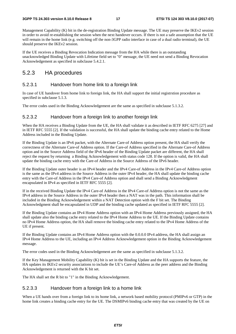Management Capability (K) bit in the de-registration Binding Update message. The UE may preserve the IKEv2 session in order to avoid re-establishing the session when the next handover occurs. If there is not a safe assumption that the UE will remain in the home link (e.g. switching off the non-3GPP radio interface in case of a dual radio terminal), the UE should preserve the IKEv2 session.

If the UE receives a Binding Revocation Indication message from the HA while there is an outstanding unacknowledged Binding Update with Lifetime field set to "0" message, the UE need not send a Binding Revocation Acknowledgement as specified in subclause 5.4.2.1.

### 5.2.3 HA procedures

#### 5.2.3.1 Handover from home link to a foreign link

In case of UE handover from home link to foreign link, the HA shall support the initial registrstion procedure as specified in subclause 5.1.3.

The error codes used in the Binding Acknowledgement are the same as specified in subclause 5.1.3.2.

#### 5.2.3.2 Handover from a foreign link to another foreign link

When the HA receives a Binding Update from the UE, the HA shall validate it as described in IETF RFC 6275 [27] and in IETF RFC 5555 [2]. If the validation is successful, the HA shall update the binding cache entry related to the Home Address included in the Binding Update.

If the Binding Update is an IPv6 packet, with the Alternate Care-of Address option present, the HA shall verify the correctness of the Alternate Care-of Address option. If the Care-of Address specified in the Alternate Care-of Address option and in the Source Address field of the IPv6 header of the Binding Update packet are different, the HA shall reject the request by returning a Binding Acknowledgement with status code 128. If the option is valid, the HA shall update the binding cache entry with the Care-of Address in the Source Address of the IPv6 header.

If the Binding Update outer header is an IPv4 header and the IPv4 Care-of Address in the IPv4 Care-of Address option is the same as the IPv4 address in the Source Address in the outer IPv4 header, the HA shall update the binding cache entry with the Care-of Address in the IPv4 Care-of Address option and shall send a Binding Acknowledgment encapsulated in IPv4 as specified in IETF RFC 5555 [2].

If in the received Binding Update the IPv4 Care-of Address in the IPv4 Care-of Address option is not the same as the IPv4 address in the Source Address in the outer IPv4 header then a NAT was in the path. This information shall be included in the Binding Acknowledgement within a NAT Detection option with the F bit set. The Binding Acknowledgment shall be encapsulated in UDP and the binding cache updated as specified in IETF RFC 5555 [2].

If the Binding Update contains an IPv4 Home Address option with an IPv4 Home Address previously assigned, the HA shall update also the binding cache entry related to the IPv4 Home Address to the UE. If the Binding Update contains no IPv4 Home Address option, the HA shall remove the binding cache entry related to the IPv4 Home Address of the UE if present.

If the Binding Update contains an IPv4 Home Address option with the 0.0.0.0 IPv4 address, the HA shall assign an IPv4 Home Address to the UE, including an IPv4 Address Acknowledgement option in the Binding Acknowledgement message.

The error codes used in the Binding Acknowledgement are the same as specified in subclause 5.1.3.2.

If the Key Management Mobility Capability (K) bit is set in the Binding Update and the HA supports the feature, the HA updates its IKEv2 security associations to include the UE's Care-of Address as the peer address and the Binding Acknowledgement is returned with the K bit set.

The HA shall set the R bit to "1" in the Binding Acknowledgement.

#### 5.2.3.3 Handover from a foreign link to a home link

When a UE hands over from a foreign link to its home link, a network based mobility protocol (PMIPv6 or GTP) in the home link creates a binding cache entry for the UE. The DSMIPv6 binding cache entry that was created by the UE on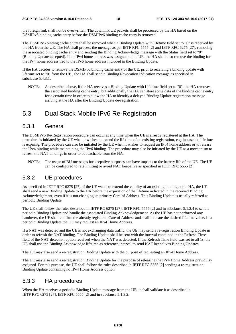the foreign link shall not be overwritten. The downlink UE packets shall be processed by the HA based on the DSMIPv6 binding cache entry before the DSMIPv6 binding cache entry is removed.

The DSMIPv6 binding cache entry shall be removed when a Binding Update with lifetime field set to "0" is received by the HA from the UE. The HA shall process the message as per IETF RFC 5555 [2] and IETF RFC 6275 [27], removing the associated binding cache entry and sending the Binding Acknowledge message with the Status field set to "0" (Binding Update accepted). If an IPv4 home address was assigned to the UE, the HA shall also remove the binding for the IPv4 home address tied to the IPv6 home address included in the Binding Update.

If the HA decides to remove the DSMIPv6 binding cache entry of the UE, prior to receiving a binding update with lifetime set to "0" from the UE , the HA shall send a Binding Revocation Indication message as specified in subclause 5.4.3.1.

NOTE: As described above, if the HA receives a Binding Update with Lifetime field set to "0", the HA removes the associated binding cache entry, but additionally the HA can store some data of the binding cache entry for a certain time in order to allow the HA to identify a delayed Binding Update registration message arriving at the HA after the Binding Update de-registration.

### 5.3 Dual Stack Mobile IPv6 Re-Registration

### 5.3.1 General

The DSMIPv6 Re-Registration procedure can occur at any time when the UE is already registered at the HA. The procedure is initiated by the UE when it wishes to extend the lifetime of an existing registration, e.g. in case the lifetime is expiring. The procedure can also be initiated by the UE when it wishes to request an IPv4 home address or to release the IPv4 binding while maintaining the IPv6 binding. The procedure may also be initiated by the UE as a mechanism to refresh the NAT bindings in order to be reachable from the HA.

NOTE: The usage of BU messages for keepalive purposes can have impacts to the battery life of the UE. The UE can be configured to rate limiting or avoid NAT keepalive as specified in IETF RFC 5555 [2].

### 5.3.2 UE procedures

As specified in IETF RFC 6275 [27], if the UE wants to extend the validity of an existing binding at the HA, the UE shall send a new Binding Update to the HA before the expiration of the lifetime indicated in the received Binding Acknowledgement, even if it is not changing its primary Care-of Address. This Binding Update is usually referred as periodic Binding Update.

The UE shall follow the rules described in IETF RC 6275 [27], IETF RFC 5555 [2] and in subclause 5.1.2.4 to send a periodic Binding Update and handle the associated Binding Acknowledgement. As the UE has not performed any handover, the UE shall confirm the already registered Care of Address and shall indicate the desired lifetime value. In a periodic Binding Update the UE may request an IPv4 Home Address.

If a NAT was detected and the UE is not exchanging data traffic, the UE may send a re-registration Binding Update in order to refresh the NAT binding. The Binding Update shall be sent with the interval contained in the Refresh Time field of the NAT detection option received when the NAT was detected. If the Refresh Time field was set to all 1s, the UE shall use the Binding Acknowledge lifetime as reference interval to send NAT keepalives Binding Updates.

The UE may also send a re-registration Binding Update with the purpose of requesting an IPv4 Home Address.

The UE may also send a re-registration Binding Update for the purpose of releasing the IPv4 Home Address previoulsy assigned. For this purpose, the UE shall follow the rules described in IETF RFC 5555 [2] sending a re-registration Binding Update containing no IPv4 Home Address option.

### 5.3.3 HA procedures

When the HA receives a periodic Binding Update message from the UE, it shall validate it as described in IETF RFC 6275 [27], IETF RFC 5555 [2] and in subclause 5.1.3.2.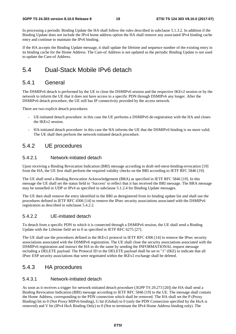In processing a periodic Binding Update the HA shall follow the rules described in subclause 5.1.3.2. In addition if the Binding Update does not include the IPv4 home address option the HA shall remove any associated IPv4 binding cache entry and continue to maintain the IPv6 binding.

If the HA accepts the Binding Update message, it shall update the lifetime and sequence number of the existing entry in its binding cache for the Home Address. The Care-of Address is not updated as the periodic Binding Update is not used to update the Care-of Address.

### 5.4 Dual-Stack Mobile IPv6 detach

### 5.4.1 General

The DSMIPv6 detach is performed by the UE to close the DSMIPv6 session and the respective IKEv2 session or by the network to inform the UE that it does not have access to a specific PDN through DSMIPv6 any longer. After the DSMIPv6 detach procedure, the UE still has IP connectivity provided by the access network.

There are two explicit detach procedures:

- UE-initiated detach procedure: in this case the UE performs a DSMIPv6 de-registration with the HA and closes the IKEv2 session.
- HA-initiated detach procedure: in this case the HA informs the UE that the DSMIPv6 binding is no more valid. The UE shall then perform the network-initiated detach procedure.

### 5.4.2 UE procedures

#### 5.4.2.1 Network-initiated detach

Upon receiving a Binding Revocation Indication (BRI) message according to draft-ietf-mext-binding-revocation [19] from the HA, the UE first shall perform the required validity checks on the BRI according to IETF RFC 5846 [19].

The UE shall send a Binding Revocation Acknowledgement (BRA) as specified in IETF RFC 5846 [19]. In this message the UE shall set the status field to 'Success' to reflect that it has received the BRI message. The BRA message may be tunnelled in UDP or IPv4 as specified in subclause 5.1.2.4 for Binding Update messages.

The UE then shall remove the entry identified in the BRI as deregistered from its binding update list and shall use the procedures defined in IETF RFC 4306 [14] to remove the IPsec security associations associated with the DSMIPv6 registration as described in subclause 5.4.2.2.

#### 5.4.2.2 UE-initiated detach

To detach from a specific PDN to which it is connected through a DSMIPv6 session, the UE shall send a Binding Update with the Lifetime field set to 0 as specified in IETF RFC 6275 [27].

The UE shall use the procedures defined in the IKEv2 protocol in IETF RFC 4306 [14] to remove the IPsec security associations associated with the DSMIPv6 registration. The UE shall close the security associations associated with the DSMIPv6 registration and instruct the HA to do the same by sending the INFORMATIONAL request message including a DELETE payload. The Protocol ID in the DELETE payload shall be set to "1" (IKE) to indicate that all IPsec ESP security associations that were negotiated within the IKEv2 exchange shall be deleted.

### 5.4.3 HA procedures

#### 5.4.3.1 Network-initiated detach

As soon as it receives a trigger for network-initiated detach procedure (3GPP TS 29.273 [20]) the HA shall send a Binding Revocation Indication (BRI) message according to IETF RFC 5846 [19] to the UE. The message shall contain the Home Address, corresponding to the PDN connection which shall be removed. The HA shall set the P (Proxy Binding) bit to 0 (Not Proxy MIPv6 binding), G bit (Global) to 0 (only the PDN Connection specified by the HoA is removed) and V bit (IPv4 HoA Binding Only) to 0 (Not to terminate the IPv4 Home Address binding only). The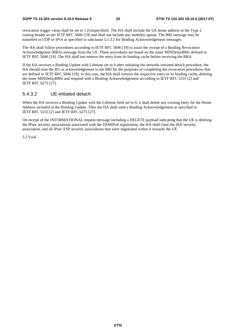revocation trigger value shall be set to 1 (Unspecified). The HA shall include the UE home address in the Type 2 routing header as per IETF RFC 5846 [19] and shall not include any mobility option. The BRI message may be tunnelled in UDP or IPv4 as specified in subclause 5.1.3.2 for Binding Acknowledgement messages.

The HA shall follow procedures according to IETF RFC 5846 [19] to await the receipt of a Binding Revocation Acknowledgment (BRA) message from the UE. These procedures are based on the timer MINDelayBRIs defined in IETF RFC 5846 [19]. The HA shall not remove the entry from its binding cache before receiving the BRA.

If the HA receives a Binding Update with Lifetime set to 0 after initiating the network-initiated detach procedure, the HA should treat the BU as acknowledgement to the BRI for the purposes of completing the revocation procedures that are defined in IETF RFC 5846 [19]; in this case, the HA shall remove the respective entry in its binding cache, deleting the timer MINDelayBRIs and respond with a Binding Acknowledgement according to IETF RFC 5555 [2] and IETF RFC 6275 [27].

#### 5.4.3.2 UE-initiated detach

When the HA receives a Binding Update with the Lifetime field set to 0, it shall delete any existing entry for the Home Address included in the Binding Update. Then the HA shall send a Binding Acknowledgement as specified in IETF RFC 5555 [2] and IETF RFC 6275 [27].

On receipt of the INFORMATIONAL request message including a DELETE payload indicating that the UE is deleting the IPsec security associations associated with the DSMIPv6 registration, the HA shall close the IKE security association, and all IPsec ESP security associations that were negotiated within it towards the UE.

5.5 Void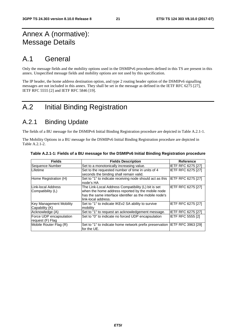### Annex A (normative): Message Details

### A.1 General

Only the message fields and the mobility options used in the DSMIPv6 procedures defined in this TS are present in this annex. Unspecified message fields and mobility options are not used by this specification.

The IP header, the home address destination option, and type 2 routing header option of the DSMIPv6 signalling messages are not included in this annex. They shall be set in the message as defined in the IETF RFC 6275 [27], IETF RFC 5555 [2] and IETF RFC 5846 [19].

### A.2 Initial Binding Registration

### A.2.1 Binding Update

The fields of a BU message for the DSMIPv6 Initial Binding Registration procedure are depicted in Table A.2.1-1.

The Mobility Options in a BU message for the DSMIPv6 Initial Binding Registration procedure are depicted in Table A.2.1-2.

| <b>Fields</b>                                    | <b>Fields Description</b>                                                                                                                                                                 | <b>Reference</b>          |
|--------------------------------------------------|-------------------------------------------------------------------------------------------------------------------------------------------------------------------------------------------|---------------------------|
| Sequence Number                                  | Set to a monotonically increasing value.                                                                                                                                                  | IETF RFC 6275 [27]        |
| Lifetime                                         | Set to the requested number of time in units of 4<br>seconds the binding shall remain valid.                                                                                              | IETF RFC 6275 [27]        |
| Home Registration (H)                            | Set to "1" to indicate receiving node should act as this<br>node's HA                                                                                                                     | IETF RFC 6275 [27]        |
| Link-local Address<br>Compatibility (L)          | The Link-Local Address Compatibility (L) bit is set<br>when the home address reported by the mobile node<br>has the same interface identifier as the mobile node's<br>link-local address. | <b>IETF RFC 6275 [27]</b> |
| <b>Key Management Mobility</b><br>Capability (K) | Set to "1" to indicate IKEv2 SA ability to survive<br>mobility                                                                                                                            | IETF RFC 6275 [27]        |
| Acknowledge (A)                                  | Set to "1" to request an acknowledgement message.                                                                                                                                         | IETF RFC 6275 [27]        |
| Force UDP encapsulation<br>request (F) Flag      | Set to "0" to indicate no forced UDP encapsulation                                                                                                                                        | <b>IETF RFC 5555 [2]</b>  |
| Mobile Router Flag (R)                           | Set to "1" to indicate home network prefix preservation IETF RFC 3963 [29]<br>for the UE.                                                                                                 |                           |

|  |  | Table A.2.1-1: Fields of a BU message for the DSMIPv6 Initial Binding Registration procedure |
|--|--|----------------------------------------------------------------------------------------------|
|--|--|----------------------------------------------------------------------------------------------|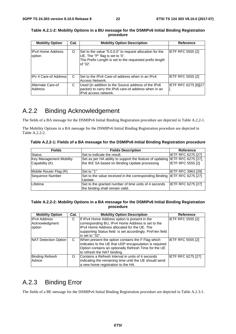| <b>Mobility Option</b>             | Cat. | <b>Mobility Option Description</b>                                                                                                                                 | Reference                   |
|------------------------------------|------|--------------------------------------------------------------------------------------------------------------------------------------------------------------------|-----------------------------|
| <b>IPv4 Home Address</b><br>option | O    | Set to the value "0.0.0.0" to request allocation for the<br>UE. The "P" flag is set to '0'.<br>The Prefix Length is set to the requested prefix length<br>of '32'. | <b>IETF RFC 5555 [2]</b>    |
| IPv 4 Care-of Address              | C    | Set to the IPv4 Care-of address when in an IPv4<br>Access Network.                                                                                                 | <b>IETF RFC 5555 [2]</b>    |
| Alternate Care-of<br>Address       | С    | Used (in addition to the Source address of the IPv6<br>packet) to carry the IPv6 care-of address when in an<br>IPv6 access network.                                | <b>IETF RFC 6275 [6][27</b> |

**Table A.2.1-2: Mobility Options in a BU message for the DSMIPv6 Initial Binding Registration procedure** 

### A.2.2 Binding Acknowledgement

The fields of a BA message for the DSMIPv6 Initial Binding Registration procedure are depicted in Table A.2.2-1.

The Mobility Options in a BA message for the DSMIPv6 Initial Binding Registration procedure are depicted in Table A.2.2-2.

**Table A.2.2-1: Fields of a BA message for the DSMIPv6 Initial Binding Registration procedure** 

| <b>Fields</b>                             | <b>Fields Description</b>                                                                                                     | Reference                 |
|-------------------------------------------|-------------------------------------------------------------------------------------------------------------------------------|---------------------------|
| <b>Status</b>                             | Set to indicate the result.                                                                                                   | <b>IETF RFC 6275 [27]</b> |
| Key Management Mobility<br>Capability (K) | Set as per HA ability to support the feature of updating IETF RFC 6275 [27],<br>the IKE SA based on Binding Update processing | <b>IETF RFC 5555 [2]</b>  |
| Mobile Router Flag (R)                    | Set to "1"                                                                                                                    | <b>IETF RFC 3963 [29]</b> |
| Sequence Number                           | Set to the value received in the corresponding Binding IETF RFC 6275 [27]<br>Update.                                          |                           |
| Lifetime                                  | Set to the granted number of time units of 4 seconds<br>the binding shall remain valid.                                       | <b>IETF RFC 6275 [27]</b> |

#### **Table A.2.2-2: Mobility Options in a BA message for the DSMIPv6 Initial Binding Registration procedure**

| <b>Mobility Option</b>                          | Cat. | <b>Mobility Option Description</b>                                                                                                                                                                                                 | Reference          |
|-------------------------------------------------|------|------------------------------------------------------------------------------------------------------------------------------------------------------------------------------------------------------------------------------------|--------------------|
| <b>IPv4 Address</b><br>Acknowledgment<br>option | С    | If IPv4 Home Address option is present in the<br>corresponding BU, IPv4 Home Address is set to the<br>IPv4 Home Address allocated for the UE. The<br>supporting Status field is set accordingly. Pref-len field<br>is set to "32". | IETF RFC 5555 [2]  |
| NAT Detection Option                            | C    | When present the option contains the F Flag which<br>indicates to the UE that UDP encapsulation is required.<br>Option contains an optionally Refresh Time for the UE<br>to refresh the NAT binding.                               | IETF RFC 5555 [2]  |
| <b>Binding Refresh</b><br>Advice                | O    | Contains a Refresh Interval in units of 4 seconds<br>indicating the remaining time until the UE should send<br>a new home registration to the HA.                                                                                  | IETF RFC 6275 [27] |

### A.2.3 Binding Error

The fields of a BE message for the DSMIPv6 Initial Binding Registration procedure are depicted in Table A.2.3-1.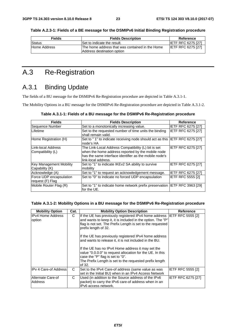| <b>Fields</b> | <b>Fields Description</b>                                                      | Reference                 |
|---------------|--------------------------------------------------------------------------------|---------------------------|
| Status        | Set to indicate the result.                                                    | <b>IETF RFC 6275 [27]</b> |
| Home Address  | IThe home address that was contained in the Home<br>Address destination option | <b>IETF RFC 6275 [27]</b> |

**Table A.2.3-1: Fields of a BE message for the DSMIPv6 Initial Binding Registration procedure** 

## A.3 Re-Registration

### A.3.1 Binding Update

The fields of a BU message for the DSMIPv6 Re-Registration procedure are depicted in Table A.3.1-1.

The Mobility Options in a BU message for the DSMIPv6 Re-Registration procedure are depicted in Table A.3.1-2.

| Table A.3.1-1: Fields of a BU message for the DSMIPv6 Re-Registration procedure |  |  |
|---------------------------------------------------------------------------------|--|--|
|---------------------------------------------------------------------------------|--|--|

| <b>Fields</b>                                    | <b>Fields Description</b>                                                                                                                                                                 | Reference                 |
|--------------------------------------------------|-------------------------------------------------------------------------------------------------------------------------------------------------------------------------------------------|---------------------------|
| Sequence Number                                  | Set to a monotonically increasing value.                                                                                                                                                  | <b>IETF RFC 6275 [27]</b> |
| Lifetime                                         | Set to the requested number of time units the binding<br>shall remain valid.                                                                                                              | <b>IETF RFC 6275 [27]</b> |
| Home Registration (H)                            | Set to "1" to indicate receiving node should act as this IETF RFC 6275 [27]<br>node's HA                                                                                                  |                           |
| Link-local Address<br> Compatibility (L)         | The Link-Local Address Compatibility (L) bit is set<br>when the home address reported by the mobile node<br>has the same interface identifier as the mobile node's<br>link-local address. | <b>IETF RFC 6275 [27]</b> |
| <b>Key Management Mobility</b><br>Capability (K) | Set to "1" to indicate IKEv2 SA ability to survive<br>mobility                                                                                                                            | IETF RFC 6275 [27]        |
| Acknowledge (A)                                  | Set to "1" to request an acknowledgement message.                                                                                                                                         | <b>IETF RFC 6275 [27]</b> |
| Force UDP encapsulation<br>request (F) Flag      | Set to "0" to indicate no forced UDP encapsulation                                                                                                                                        | IETF RFC 5555 [2]         |
| Mobile Router Flag (R)                           | Set to "1" to indicate home network prefix preservation IETF RFC 3963 [29]<br>for the UE.                                                                                                 |                           |

#### **Table A.3.1-2: Mobility Options in a BU message for the DSMIPv6 Re-Registration procedure**

| <b>Mobility Option</b>       | Cat. | <b>Mobility Option Description</b>                                                                                                                                                                                                                                                                                                                                                                                                                                                                                                                               | Reference          |
|------------------------------|------|------------------------------------------------------------------------------------------------------------------------------------------------------------------------------------------------------------------------------------------------------------------------------------------------------------------------------------------------------------------------------------------------------------------------------------------------------------------------------------------------------------------------------------------------------------------|--------------------|
| IIPv4 Home Address<br>option | C    | If the UE has previously registered IPv4 home address IETF RFC 5555 [2]<br>and wants to keep it, it is included in the option. The "P"<br>flag is not set. The Prefix Length is set to the requested<br>prefix length of 32.<br>If the UE has previously registered IPv4 home address<br>and wants to release it, it is not included in the BU.<br>If the UE has no IPv4 Home address it may set the<br>value "0.0.0.0" to request allocation for the UE. In this<br>case the "P" flag is set to "0".<br>The Prefix Length is set to the requested prefix length |                    |
|                              |      | of 32.                                                                                                                                                                                                                                                                                                                                                                                                                                                                                                                                                           |                    |
| <b>IPv 4 Care-of Address</b> | C    | Set to the IPv4 Care-of address (same value as was<br>set in the Initial BU) when in an IPv4 Access Network                                                                                                                                                                                                                                                                                                                                                                                                                                                      | IETF RFC 5555 [2]  |
| Alternate Care-of<br>Address | C    | Used (in addition to the Source address of the IPv6<br>packet) to carry the IPv6 care-of address when in an<br>IPv6 access network.                                                                                                                                                                                                                                                                                                                                                                                                                              | IETF RFC 6275 [27] |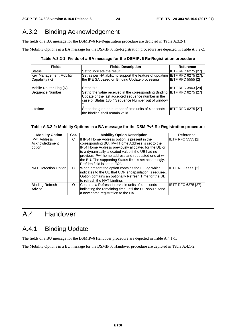## A.3.2 Binding Acknowledgement

The fields of a BA message for the DSMIPv6 Re-Registration procedure are depicted in Table A.3.2-1.

The Mobility Options in a BA message for the DSMIPv6 Re-Registration procedure are depicted in Table A.3.2-2.

**Table A.3.2-1: Fields of a BA message for the DSMIPv6 Re-Registration procedure** 

| <b>Fields</b>                                    | <b>Fields Description</b>                                                                                                                                          | <b>Reference</b>                                       |
|--------------------------------------------------|--------------------------------------------------------------------------------------------------------------------------------------------------------------------|--------------------------------------------------------|
| Status                                           | Set to indicate the result.                                                                                                                                        | <b>IETF RFC 6275 [27]</b>                              |
| <b>Key Management Mobility</b><br>Capability (K) | Set as per HA ability to support the feature of updating<br>the IKE SA based on Binding Update processing                                                          | <b>IETF RFC 6275 [27],</b><br><b>IETF RFC 5555 [2]</b> |
| Mobile Router Flag (R)                           | Set to "1"                                                                                                                                                         | <b>IETF RFC 3963 [29]</b>                              |
| Sequence Number                                  | Set to the value received in the corresponding Binding<br>Update or the last accepted sequence number in the<br>case of Status 135 ("Sequence Number out of window | IETF RFC 6275 [27]                                     |
| Lifetime                                         | Set to the granted number of time units of 4 seconds<br>the binding shall remain valid.                                                                            | <b>IETF RFC 6275 [27]</b>                              |

### **Table A.3.2-2: Mobility Options in a BA message for the DSMIPv6 Re-Registration procedure**

| <b>Mobility Option</b>                          | Cat. | <b>Mobility Option Description</b>                                                                                                                                                                              | <b>Reference</b>          |
|-------------------------------------------------|------|-----------------------------------------------------------------------------------------------------------------------------------------------------------------------------------------------------------------|---------------------------|
| <b>IPv4 Address</b><br>Acknowledgment<br>option | С    | If IPv4 Home Address option is present in the<br>corresponding BU, IPv4 Home Address is set to the<br>IPv4 Home Address previously allocated for the UE or<br>to a dynamically allocated value if the UE had no | IETF RFC 5555 [2]         |
|                                                 |      | previous IPv4 home address and requested one at with<br>the BU. The supporting Status field is set accordingly.<br>Pref-len field is set to "32".                                                               |                           |
| NAT Detection Option                            | C    | When present the option contains the F Flag which<br>indicates to the UE that UDP encapsulation is required.<br>Option contains an optionally Refresh Time for the UE<br>to refresh the NAT binding.            | IETF RFC 5555 [2]         |
| Binding Refresh<br>Advice                       | O    | Contains a Refresh Interval in units of 4 seconds<br>indicating the remaining time until the UE should send<br>a new home registration to the HA.                                                               | <b>IETF RFC 6275 [27]</b> |

## A.4 Handover

## A.4.1 Binding Update

The fields of a BU message for the DSMIPv6 Handover procedure are depicted in Table A.4.1-1.

The Mobility Options in a BU message for the DSMIPv6 Handover procedure are depicted in Table A.4.1-2.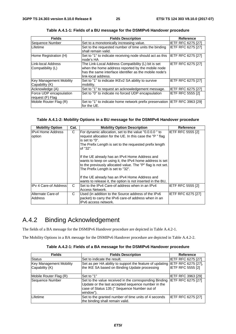| <b>Fields</b>                                    | <b>Fields Description</b>                                                                                                                                                                 | <b>Reference</b>          |
|--------------------------------------------------|-------------------------------------------------------------------------------------------------------------------------------------------------------------------------------------------|---------------------------|
| Sequence Number                                  | Set to a monotonically increasing value.                                                                                                                                                  | <b>IETF RFC 6275 [27]</b> |
| Lifetime                                         | Set to the requested number of time units the binding<br>shall remain valid.                                                                                                              | <b>IETF RFC 6275 [27]</b> |
| Home Registration (H)                            | Set to "1" to indicate receiving node should act as this IETF RFC 6275 [27]<br>node's HA                                                                                                  |                           |
| Link-local Address<br> Compatibility (L)         | The Link-Local Address Compatibility (L) bit is set<br>when the home address reported by the mobile node<br>has the same interface identifier as the mobile node's<br>link-local address. | IETF RFC 6275 [27]        |
| <b>Key Management Mobility</b><br>Capability (K) | Set to "1" to indicate IKEv2 SA ability to survive<br>mobility.                                                                                                                           | IETF RFC 6275 [27]        |
| Acknowledge (A)                                  | Set to "1" to request an acknowledgement message.                                                                                                                                         | <b>IETF RFC 6275 [27]</b> |
| Force UDP encapsulation<br>request (F) Flag      | Set to "0" to indicate no forced UDP encapsulation                                                                                                                                        | <b>IETF RFC 5555 [2]</b>  |
| Mobile Router Flag (R)                           | Set to "1" to indicate home network prefix preservation IETF RFC 3963 [29]<br>for the UE.                                                                                                 |                           |

**Table A.4.1-1: Fields of a BU message for the DSMIPv6 Handover procedure** 

#### **Table A.4.1-2: Mobility Options in a BU message for the DSMIPv6 Handover procedure**

| <b>Mobility Option</b>             | Cat. | <b>Mobility Option Description</b>                                                                                                                                                                            | <b>Reference</b>          |
|------------------------------------|------|---------------------------------------------------------------------------------------------------------------------------------------------------------------------------------------------------------------|---------------------------|
| <b>IPv4 Home Address</b><br>option | C    | For dynamic allocation, set to the value "0.0.0.0" to<br>request allocation for the UE. In this case the "P" flag<br>is set to "0".<br>The Prefix Length is set to the requested prefix length<br>of "32".    | <b>IETF RFC 5555 [2]</b>  |
|                                    |      | If the UE already has an IPv4 Home Address and<br>wants to keep on using it, the IPv4 home address is set<br>to the previously allocated value. The "P" flag is not set.<br>The Prefix Length is set to "32". |                           |
|                                    |      | If the UE already has an IPv4 Home Address and<br>wants to release it, the option is not inserted in the BU,                                                                                                  |                           |
| <b>IPv 4 Care-of Addressl</b>      | C    | Set to the IPv4 Care-of address when in an IPv4<br>Access Network.                                                                                                                                            | <b>IETF RFC 5555 [2]</b>  |
| Alternate Care-of<br>Address       | C    | Used (in addition to the Source address of the IPv6<br>packet) to carry the IPv6 care-of address when in an<br>IPv6 access network.                                                                           | <b>IETF RFC 6275 [27]</b> |

### A.4.2 Binding Acknowledgement

The fields of a BA message for the DSMIPv6 Handover procedure are depicted in Table A.4.2-1.

The Mobility Options in a BA message for the DSMIPv6 Handover procedure are depicted in Table A.4.2-2.

| Table A.4.2-1: Fields of a BA message for the DSMIPv6 Handover procedure |  |  |
|--------------------------------------------------------------------------|--|--|
|--------------------------------------------------------------------------|--|--|

| <b>Fields</b>                             | <b>Fields Description</b>                                                                                                                                                 | <b>Reference</b>          |
|-------------------------------------------|---------------------------------------------------------------------------------------------------------------------------------------------------------------------------|---------------------------|
| Status                                    | Set to indicate the result.                                                                                                                                               | <b>IETF RFC 6275 [27]</b> |
| Key Management Mobility<br>Capability (K) | Set as per HA ability to support the feature of updating IETF RFC 6275 [27],<br>the IKE SA based on Binding Update processing                                             | <b>IETF RFC 5555 [2]</b>  |
| Mobile Router Flag (R)                    | Set to "1"                                                                                                                                                                | <b>IETF RFC 3963 [29]</b> |
| Sequence Number                           | Set to the value received in the corresponding Binding<br>Update or the last accepted sequence number in the<br>case of Status 135 (" Sequence Number out of<br>window"). | <b>IETF RFC 6275 [27]</b> |
| Lifetime                                  | Set to the granted number of time units of 4 seconds<br>the binding shall remain valid.                                                                                   | <b>IETF RFC 6275 [27]</b> |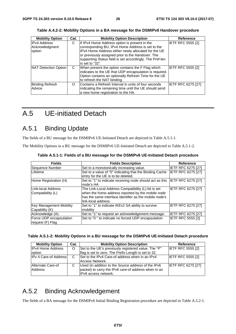| <b>Mobility Option</b>                    | Cat. | <b>Mobility Option Description</b>                                                                                                                                                                                                                                                            | <b>Reference</b>         |
|-------------------------------------------|------|-----------------------------------------------------------------------------------------------------------------------------------------------------------------------------------------------------------------------------------------------------------------------------------------------|--------------------------|
| IIPv4 Address<br>Acknowledgment<br>option | C    | If IPv4 Home Address option is present in the<br>corresponding BU, IPv4 Home Address is set to the<br>IPv4 Home Address either newly allocated for the UE<br>or previously assigned prior to the Handover. The<br>supporting Status field is set accordingly. The Pref-len<br>is set to "32". | <b>IETF RFC 5555 [2]</b> |
| NAT Detection Option                      | C    | When present the option contains the F Flag which<br>indicates to the UE that UDP encapsulation is required.<br>Option contains an optionally Refresh Time for the UE<br>to refresh the NAT binding.                                                                                          | <b>IETF RFC 5555 [2]</b> |
| <b>Binding Refresh</b><br>Advice          | O    | Contains a Refresh Interval in units of four seconds<br>indicating the remaining time until the UE should send<br>a new home registration to the HA.                                                                                                                                          | IETF RFC 6275 [27]       |

**Table A.4.2-2: Mobility Options in a BA message for the DSMIPv6 Handover procedure** 

### A.5 UE-initiated Detach

### A.5.1 Binding Update

The fields of a BU message for the DSMIPv6 UE-Initiated Detach are depicted in Table A.5.1-1.

The Mobility Options in a BU message for the DSMIPv6 UE-Initiated Detach are depicted in Table A.5.1-2.

| <b>Fields</b>                                    | <b>Fields Description</b>                                                                                                                                                                 | Reference                 |
|--------------------------------------------------|-------------------------------------------------------------------------------------------------------------------------------------------------------------------------------------------|---------------------------|
| Sequence Number                                  | Set to a monotonically increasing value.                                                                                                                                                  | <b>IETF RFC 6275 [27]</b> |
| Lifetime                                         | Set to a value of "0" indicating that the Binding Cache<br>entry for the UE is to be deleted.                                                                                             | <b>IETF RFC 6275 [27]</b> |
| Home Registration (H)                            | Set to "1" to indicate receiving node should act as this  IETF RFC 6275 [27]<br>node's HA                                                                                                 |                           |
| ILink-local Address<br>Compatibility (L)         | The Link-Local Address Compatibility (L) bit is set<br>when the home address reported by the mobile node<br>has the same interface identifier as the mobile node's<br>link-local address. | IETF RFC 6275 [27]        |
| <b>Key Management Mobility</b><br>Capability (K) | Set to "1" to indicate IKEv2 SA ability to survive<br>mobility                                                                                                                            | IETF RFC 6275 [27]        |
| Acknowledge (A)                                  | Set to "1" to request an acknowledgement message.                                                                                                                                         | <b>IETF RFC 6275 [27]</b> |
| Force UDP encapsulation<br>request (F) Flag      | Set to "0" to indicate no forced UDP encapsulation                                                                                                                                        | <b>IETF RFC 5555 [2]</b>  |

**Table A.5.1-1: Fields of a BU message for the DSMIPv6 UE-Initiated Detach procedure** 

#### **Table A.5.1-2: Mobility Options in a BU message for the DSMIPv6 UE-Initiated Detach procedure**

| <b>Mobility Option</b>             | Cat. | <b>Mobility Option Description</b>                                                                                                  | Reference                 |
|------------------------------------|------|-------------------------------------------------------------------------------------------------------------------------------------|---------------------------|
| <b>IPv4 Home Address</b><br>option | O    | Set to the UE's previously registered value. The "P"<br>flag is set to zero. The Prefix Length is set to 32.                        | <b>IETF RFC 5555 [2]</b>  |
| <b>IPv 4 Care-of Address</b>       | C    | Set to the IPv4 Care-of address when in an IPv4<br>Access Network.                                                                  | <b>IETF RFC 5555 [2]</b>  |
| Alternate Care-of<br>Address       |      | Used (in addition to the Source address of the IPv6<br>packet) to carry the IPv6 care-of address when in an<br>IPv6 access network. | <b>IETF RFC 6275 [27]</b> |

### A.5.2 Binding Acknowledgement

The fields of a BA message for the DSMIPv6 Initial Binding Registration procedure are depicted in Table A.5.2-1.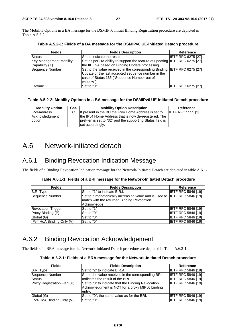The Mobility Options in a BA message for the DSMIPv6 Initial Binding Registration procedure are depicted in Table A.5.2-2.

| <b>Fields</b>                  | <b>Fields Description</b>                                                   | Reference                 |
|--------------------------------|-----------------------------------------------------------------------------|---------------------------|
| <b>Status</b>                  | Set to indicate the result.                                                 | <b>IETF RFC 6275 [27]</b> |
| <b>Key Management Mobility</b> | Set as per HA ability to support the feature of updating IETF RFC 6275 [27] |                           |
| Capability (K)                 | the IKE SA based on Binding Update processing                               |                           |
| Sequence Number                | Set to the value received in the corresponding Binding IETF RFC 6275 [27]   |                           |
|                                | Update or the last accepted sequence number in the                          |                           |
|                                | case of Status 135 ("Sequence Number out of                                 |                           |
|                                | window").                                                                   |                           |
| Lifetime                       | Set to "0".                                                                 | <b>IETF RFC 6275 [27]</b> |

**Table A.5.2-1: Fields of a BA message for the DSMIPv6 UE-Initiated Detach procedure** 

#### **Table A.5.2-2: Mobility Options in a BA message for the DSMIPv6 UE-Initiated Detach procedure**

| <b>Mobility Option</b>                  | Cat. | <b>Mobility Option Description</b>                                                                                                                                                             | Reference                |
|-----------------------------------------|------|------------------------------------------------------------------------------------------------------------------------------------------------------------------------------------------------|--------------------------|
| IPv4Address<br>Acknowledgment<br>option | C    | If present in the BU the IPv4 Home Address is set to<br>the IPv4 Home Address that is now de-registered. The<br>pref-len is set to "32" and the supporting Status field is<br>set accordingly. | <b>IETF RFC 5555 [2]</b> |

### A.6 Network-initiated detach

### A.6.1 Binding Revocation Indication Message

The fields of a Binding Revocation Indication message for the Network-Initiated Detach are depicted in table A.6.1-1.

| <b>Fields</b>             | <b>Fields Description</b>                                                                                                              | Reference                 |
|---------------------------|----------------------------------------------------------------------------------------------------------------------------------------|---------------------------|
| B.R. Type                 | Set to "1" to indicate B.R.I.                                                                                                          | <b>IETF RFC 5846 [19]</b> |
| Sequence Number           | Set to a monotonically increasing value and is used to IETF RFC 5846 [19]<br>match with the returned Binding Revocation<br>Acknowledge |                           |
| <b>Revocation Trigger</b> | Set to "1"                                                                                                                             | <b>IETF RFC 5846 [19]</b> |
| Proxy Binding (P)         | Set to "0"                                                                                                                             | <b>IETF RFC 5846 [19]</b> |
| Global (G)                | Set to "0"                                                                                                                             | <b>IETF RFC 5846 [19]</b> |
| IPv4 HoA Binding Only (V) | Set to "0"                                                                                                                             | <b>IETF RFC 5846 [19]</b> |

### A.6.2 Binding Revocation Acknowledgement

The fields of a BRA message for the Network-Initiated Detach procedure are depicted in Table A.6.2-1.

| <b>Fields</b>               | <b>Fields Description</b>                                                                                       | Reference                 |
|-----------------------------|-----------------------------------------------------------------------------------------------------------------|---------------------------|
| B.R. Type                   | Set to "2" to indicate B.R.A.                                                                                   | <b>IETF RFC 5846 [19]</b> |
| Sequence Number             | Set to the value received in the corresponding BRI.                                                             | <b>IETF RFC 5846 [19]</b> |
| <b>Status</b>               | Indicates the result of the BRI.                                                                                | <b>IETF RFC 5846 [19]</b> |
| Proxy Registration Flag (P) | Set to "0" to indicate that the Binding Revocation<br>Acknowledgment is NOT for a proxy MIPv6 binding<br>entry. | <b>IETF RFC 5846 [19]</b> |
| Global (G)                  | Set to "0"; the same value as for the BRI.                                                                      | <b>IETF RFC 5846 [19]</b> |
| IPv4 HoA Binding Only (V)   | Set to "0"                                                                                                      | <b>IETF RFC 5846 [19]</b> |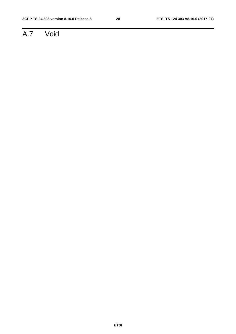## A.7 Void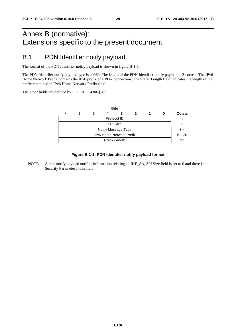### Annex B (normative): Extensions specific to the present document

### B.1 PDN Identifier notify payload

The format of the PDN Identifier notify payload is shown in figure B-1-1.

The PDN Identifier notify payload type is 40960. The length of the PDN Identifier notify payload is 21 octets. The IPv6 Home Network Prefix contains the IPv6 prefix of a PDN connection. The Prefix Length field indicates the length of the prefix contained in IPv6 Home Network Prefix field.

The other fields are defined by IETF RFC 4306 [28].

|                                 |   |   |  | <b>Bits</b> |  |  |          |               |
|---------------------------------|---|---|--|-------------|--|--|----------|---------------|
|                                 | 6 | 5 |  | 3           |  |  | o        | <b>Octets</b> |
| Protocol ID                     |   |   |  |             |  |  |          |               |
| <b>SPI Size</b>                 |   |   |  |             |  |  |          |               |
| Notify Message Type             |   |   |  |             |  |  |          | $3 - 4$       |
| <b>IPv6 Home Network Prefix</b> |   |   |  |             |  |  | $5 - 20$ |               |
| Prefix Length                   |   |   |  |             |  |  | 21       |               |
|                                 |   |   |  |             |  |  |          |               |

#### **Figure B.1-1: PDN Identifier notify payload format**

NOTE: As the notify payload notifies information relating an IKE\_SA, SPI Size field is set to 0 and there is no Security Parameter Index field.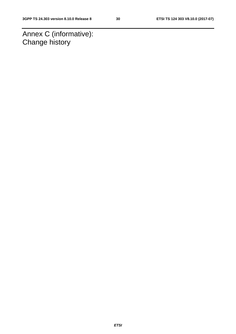Annex C (informative): Change history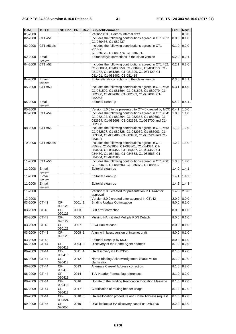| Date    | TSG#             | <b>TSG Doc. CR</b>      |          | Rev | Subject/Comment                                                                                                                                                                                                         | <b>Old</b> | <b>New</b> |
|---------|------------------|-------------------------|----------|-----|-------------------------------------------------------------------------------------------------------------------------------------------------------------------------------------------------------------------------|------------|------------|
| 01-2008 |                  |                         |          |     | Version 0.0.0 Editor's internal draft                                                                                                                                                                                   |            | 0.0.0      |
| 02-2008 | CT1 #51          |                         |          |     | Includes the following contributions agreed in CT1 #51:<br>C1-080436, C1-080437                                                                                                                                         | 0.0.0      | 0.1.0      |
| 02-2008 | CT1 #51bis       |                         |          |     | Includes the following contributions agreed in CT1<br>#51bis:                                                                                                                                                           | 0.1.0      | 0.2.0      |
|         |                  |                         |          |     | C1-080770, C1-080776, C1-080791.                                                                                                                                                                                        |            |            |
| 02-2008 | Email-<br>review |                         |          |     | Editorial/style corrections in the clean version                                                                                                                                                                        | 0.2.0      | 0.2.1      |
| 04-2008 | CT1 #52          |                         |          |     | Includes the following contributions agreed in CT1 #52:<br>C1-080954, C1-080959, C1-080960, C1-081213, C1-<br>081232, C1-081398, C1-081399, C1-081400, C1-<br>081401, C1-081402, C1-081419                              | 0.2.1      | 0.3.0      |
| 04-2008 | Email-<br>review |                         |          |     | Editorial/style corrections in the clean version                                                                                                                                                                        | 0.3.0      | 0.3.1      |
| 05-2008 | CT1 #53          |                         |          |     | Includes the following contributions agreed in CT1 #53:<br>C1-081590, C1-081594, C1-081693, C1-082079, C1-<br>082080, C1-082082, C1-082083, C1-082084, C1-<br>082063                                                    | 0.3.1      | 0.4.0      |
| 05-2008 | Email-<br>review |                         |          |     | Editorial clean-up                                                                                                                                                                                                      | 0.4.0      | 0.4.1      |
| 05-2008 |                  |                         |          |     | Version 1.0.0 to be presented to CT-40 created by MCC                                                                                                                                                                   | 0.4.1      | 1.0.0      |
| 07-2008 | CT1 #54          |                         |          |     | Includes the following contributions agreed in CT1 #54:<br>C1-082122, C1-082364, C1-082368, C1-082693, C1-<br>082694, C1-082698, C1-082699, C1-082700 and C1-<br>082808                                                 | 1.0.0      | 1.1.0      |
| 08-2008 | CT1 #55          |                         |          |     | Includes the following contributions agreed in CT1 #55:<br>C1-082827, C1-082828, C1-082989, C1-083003, C1-<br>083004, C1-083486, C1-083488, C1-083524 and C1-<br>083601                                                 | 1.1.0      | 1.2.0      |
| 10-2008 | CT1 #55bis       |                         |          |     | Includes the following contributions agreed in CT1<br>#55bis: C1-083858, C1-083861, C1-084384, C1-<br>084454, C1-084455, C1-084457, C1-084458, C1-<br>084460, C1-084461, C1-084553, C1-084563, C1-<br>084564, C1-084565 | 1.2.0      | 1.3.0      |
| 11-2008 | CT1 #56          |                         |          |     | Includes the following contributions agreed in CT1 #56:<br>C1-084692, C1-084693, C1-085379, C1-085517                                                                                                                   | 1.3.0      | 1.4.0      |
| 11-2008 | E-mail<br>review |                         |          |     | Editorial clean-up                                                                                                                                                                                                      | 1.4.0      | 1.4.1      |
| 11-2008 | E-mail<br>review |                         |          |     | Editorial clean-up                                                                                                                                                                                                      | 1.4.1      | 1.4.2      |
| 11-2008 | E-mail<br>review |                         |          |     | Editorial clean-up                                                                                                                                                                                                      | 1.4.2      | 1.4.3      |
| 11-2008 |                  |                         |          |     | Version 2.0.0 created for presentation to CT#42 for<br>approval                                                                                                                                                         | 1.4.3      | 2.0.0      |
| 12-2008 |                  |                         |          |     | Version 8.0.0 created after approval in CT#42                                                                                                                                                                           | 2.0.0      | 8.0.0      |
| 03-2009 | $CT-43$          | $CP-$<br>090126         | 0001 1   |     | <b>Binding Update Optimization</b>                                                                                                                                                                                      | 8.0.0      | 8.1.0      |
| 03-2009 | CT-43            | CP-<br>090126           | 0003     |     | BRI error correction                                                                                                                                                                                                    | 8.0.0      | 8.1.0      |
| 03-2009 | CT-43            | $CP-$<br>090129         | $0005$ 1 |     | Missing HA Initiated Multiple PDN Detach                                                                                                                                                                                | 8.0.0      | 8.1.0      |
| 03-2009 | CT-43            | CP-<br>090129           | 0007     |     | IPv4 HoA release                                                                                                                                                                                                        | 8.0.0      | 8.1.0      |
| 03-2009 | $CT-43$          | CP-<br>090125           | 0008 1   |     | Align with latest version of internet draft                                                                                                                                                                             | 8.0.0      | 8.1.0      |
| 03-2009 | CT-43            |                         |          |     | Editorial cleanup by MCC                                                                                                                                                                                                | 8.0.0      | 8.1.0      |
| 06-2009 | CT-44            | $CP-$<br>090413         | $0004$ 3 |     | Discovery of the Home Agent address                                                                                                                                                                                     | 8.1.0      | 8.2.0      |
| 06-2009 | CT-44            | CP-<br>090413           | 0011 1   |     | HA discovery via DHCPv6                                                                                                                                                                                                 | 8.1.0      | 8.2.0      |
| 06-2009 | CT-44            | CP-<br>090413           | 0012     |     | Nemo Binding Acknowledgement Status value<br>clarification                                                                                                                                                              | 8.1.0      | 8.2.0      |
| 06-2009 | $CT-44$          | CP-<br>090413           | 0013     |     | Alternate Care-of Address correction                                                                                                                                                                                    | 8.1.0      | 8.2.0      |
| 06-2009 | $CT-44$          | CP-<br>090413           | 0014     |     | TLV Header Format flag references                                                                                                                                                                                       | 8.1.0      | 8.2.0      |
| 06-2009 | $CT-44$          | $CP-$<br>090413         | 0016     |     | Update to the Binding Revocation Indication Message                                                                                                                                                                     | 8.1.0      | 8.2.0      |
| 06-2009 | CT-44            | $CP-$                   | 0017     |     | Clarification of routing header usage                                                                                                                                                                                   | 8.1.0      | 8.2.0      |
| 06-2009 | CT-44            | 090413<br>CP-<br>090324 | 00183    |     | HA reallocation procedure and Home Address request                                                                                                                                                                      | 8.1.0      | 8.2.0      |
| 09-2009 | CT-45            | CP-<br>090655           | 0019     |     | DNS lookup at HA discovery based on DHCPv6                                                                                                                                                                              | 8.2.0      | 8.3.0      |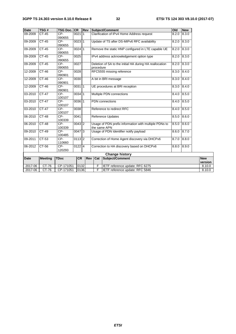| <b>Date</b> | TSG#           | <b>TSG Doc. CR</b> |           | Rev            |                                                                                | Subject/Comment                                                 | Old   | <b>New</b>      |                       |
|-------------|----------------|--------------------|-----------|----------------|--------------------------------------------------------------------------------|-----------------------------------------------------------------|-------|-----------------|-----------------------|
| 09-2009     | $CT-45$        | $CP-$<br>090655    | 0021      | $\mathsf{I}$ 1 |                                                                                | Clarification of IPv4 Home Address request<br>8.2.0<br>8.3.0    |       |                 |                       |
| 09-2009     | $CT-45$        | $CP-$<br>090655    | 002311    |                |                                                                                | Update of TS after DS-MIPv6 RFC availability<br>8.3.0<br>8.2.0  |       |                 |                       |
| 09-2009     | $CT-45$        | CP-<br>090655      | $0024$ 1  |                |                                                                                | Remove the static HNP configured in LTE capable UE              | 8.2.0 | 8.3.0           |                       |
| 09-2009     | $CT-45$        | CP-<br>090655      | 0025      |                |                                                                                | IPv4 address acknowledgement option type                        | 8.2.0 | 8.3.0           |                       |
| 09-2009     | $CT-45$        | $CP-$<br>090655    | 0027      |                | procedure                                                                      | Deletion of SA to the initial HA during HA reallocation         | 8.2.0 | 8.3.0           |                       |
| 12-2009     | CT-46          | CP-<br>090901      | 0028      |                |                                                                                | RFC5555 missing reference                                       | 8.3.0 | 8.4.0           |                       |
| 12-2009     | $CT-46$        | CP-<br>090901      | 0030      |                |                                                                                | A bit in BRI message                                            | 8.3.0 | 8.4.0           |                       |
| 12-2009     | CT-46          | $CP-$<br>090901    | 003111    |                |                                                                                | UE procedures at BRI reception                                  |       | $8.3.0$ $8.4.0$ |                       |
| 03-2010     | <b>CT-47</b>   | CP-<br>100107      | $0034$ 1  |                | Multiple PDN connections<br>8.4.0                                              |                                                                 |       | 8.5.0           |                       |
| 03-2010     | $CT-47$        | $CP-$<br>100107    | $0036$ 1  |                | <b>PDN</b> connections                                                         |                                                                 | 8.4.0 | 8.5.0           |                       |
| 03-2010     | $CT-47$        | $CP-$<br>100107    | 0038      |                | Reference to redirect RFC                                                      |                                                                 |       | $8.4.0$ $8.5.0$ |                       |
| 06-2010     | $CT-48$        | $CP-$<br>100339    | 0041      |                | <b>Reference Updates</b>                                                       |                                                                 | 8.5.0 | 8.6.0           |                       |
| 06-2010     | $CT-48$        | $CP-$<br>100339    | $0043$ 2  |                | Usage of PDN prefix information with multiple PDNs to<br>8.5.0<br>the same APN |                                                                 | 8.6.0 |                 |                       |
| 09-2010     | $CT-49$        | $CP-$<br>100485    | $0047$ 3  |                |                                                                                | Usage of PDN Identifier notify payload<br>8.6.0                 |       | 8.7.0           |                       |
| 09-2011     | $CT-53$        | $CP-$<br>110660    | $0113$ 2  |                |                                                                                | Correction of Home Agent discovery via DHCPv6<br>8.8.0<br>8.7.0 |       |                 |                       |
| 06-2012     | $CT-56$        | $CP-$<br>120293    | $0122$ 4  |                | Correction to HA discovery based on DHCPv6<br>8.9.0<br>8.8.0                   |                                                                 |       |                 |                       |
|             |                |                    |           |                |                                                                                | <b>Change history</b>                                           |       |                 |                       |
| <b>Date</b> | <b>Meeting</b> | <b>TDoc</b>        | <b>CR</b> | <b>Rev</b>     | Cat                                                                            | Subject/Comment                                                 |       |                 | <b>New</b><br>version |
| 2017-06     | CT-76          | CP-171051          | 0132      |                | F                                                                              | IETF reference update: RFC 6275                                 |       |                 | 8.10.0                |
| 2017-06     | CT-76          | CP-171051          | 0136      |                | F                                                                              | IETF reference update: RFC 5846                                 |       |                 | 8.10.0                |